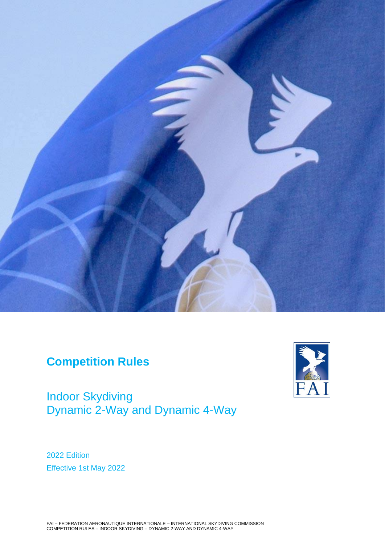

# **Competition Rules**

Indoor Skydiving Dynamic 2-Way and Dynamic 4-Way



2022 Edition Effective 1st May 2022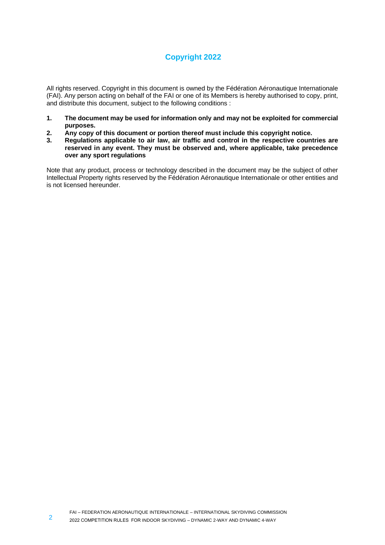# **Copyright 2022**

All rights reserved. Copyright in this document is owned by the Fédération Aéronautique Internationale (FAI). Any person acting on behalf of the FAI or one of its Members is hereby authorised to copy, print, and distribute this document, subject to the following conditions :

- **1. The document may be used for information only and may not be exploited for commercial purposes.**
- **2. Any copy of this document or portion thereof must include this copyright notice.**
- **3. Regulations applicable to air law, air traffic and control in the respective countries are reserved in any event. They must be observed and, where applicable, take precedence over any sport regulations**

Note that any product, process or technology described in the document may be the subject of other Intellectual Property rights reserved by the Fédération Aéronautique Internationale or other entities and is not licensed hereunder.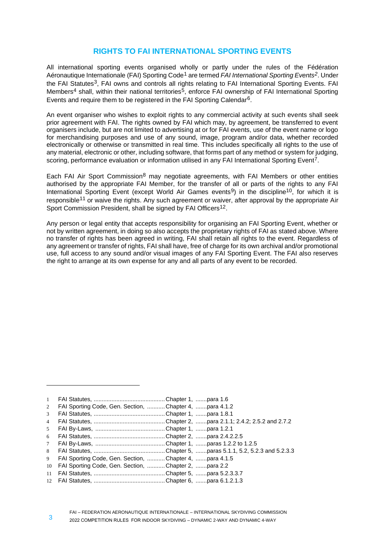# **RIGHTS TO FAI INTERNATIONAL SPORTING EVENTS**

All international sporting events organised wholly or partly under the rules of the Fédération Aéronautique Internationale (FAI) Sporting Code1 are termed *FAI International Sporting Events2*. Under the FAI Statutes<sup>3</sup>. FAI owns and controls all rights relating to FAI International Sporting Events. FAI Members<sup>4</sup> shall, within their national territories<sup>5</sup>, enforce FAI ownership of FAI International Sporting Events and require them to be registered in the FAI Sporting Calendar<sup>6</sup>.

An event organiser who wishes to exploit rights to any commercial activity at such events shall seek prior agreement with FAI. The rights owned by FAI which may, by agreement, be transferred to event organisers include, but are not limited to advertising at or for FAI events, use of the event name or logo for merchandising purposes and use of any sound, image, program and/or data, whether recorded electronically or otherwise or transmitted in real time. This includes specifically all rights to the use of any material, electronic or other, including software, that forms part of any method or system for judging, scoring, performance evaluation or information utilised in any FAI International Sporting Event<sup>7</sup>.

Each FAI Air Sport Commission<sup>8</sup> may negotiate agreements, with FAI Members or other entities authorised by the appropriate FAI Member, for the transfer of all or parts of the rights to any FAI International Sporting Event (except World Air Games events<sup>9</sup>) in the discipline<sup>10</sup>, for which it is responsible<sup>11</sup> or waive the rights. Any such agreement or waiver, after approval by the appropriate Air Sport Commission President, shall be signed by FAI Officers<sup>12</sup>.

Any person or legal entity that accepts responsibility for organising an FAI Sporting Event, whether or not by written agreement, in doing so also accepts the proprietary rights of FAI as stated above. Where no transfer of rights has been agreed in writing, FAI shall retain all rights to the event. Regardless of any agreement or transfer of rights, FAI shall have, free of charge for its own archival and/or promotional use, full access to any sound and/or visual images of any FAI Sporting Event. The FAI also reserves the right to arrange at its own expense for any and all parts of any event to be recorded.

<sup>1</sup> FAI Statutes, ............................................Chapter 1, .......para 1.6

<sup>2</sup> FAI Sporting Code, Gen. Section, ...........Chapter 4, .......para 4.1.2

<sup>3</sup> FAI Statutes, ............................................Chapter 1, .......para 1.8.1

<sup>4</sup> FAI Statutes, ............................................Chapter 2, .......para 2.1.1; 2.4.2; 2.5.2 and 2.7.2

<sup>5</sup> FAI By-Laws, ...........................................Chapter 1, .......para 1.2.1 6 FAI Statutes, ............................................Chapter 2, .......para 2.4.2.2.5

<sup>7</sup> FAI By-Laws, ...........................................Chapter 1, .......paras 1.2.2 to 1.2.5

<sup>8</sup> FAI Statutes, ............................................Chapter 5, .......paras 5.1.1, 5.2, 5.2.3 and 5.2.3.3

<sup>9</sup> FAI Sporting Code, Gen. Section, ...........Chapter 4, .......para 4.1.5

<sup>10</sup> FAI Sporting Code, Gen. Section, ...........Chapter 2, .......para 2.2

<sup>11</sup> FAI Statutes, ............................................Chapter 5, .......para 5.2.3.3.7

<sup>12</sup> FAI Statutes, ............................................Chapter 6, .......para 6.1.2.1.3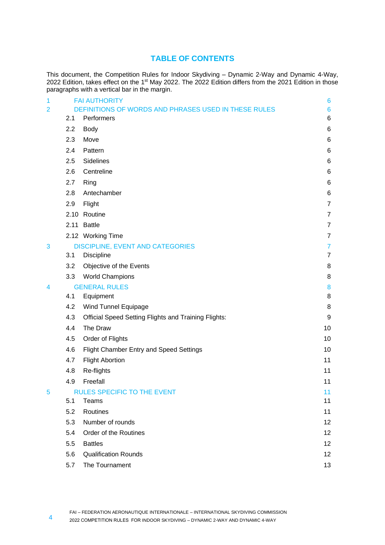# **TABLE OF CONTENTS**

This document, the Competition Rules for Indoor Skydiving – Dynamic 2-Way and Dynamic 4-Way, 2022 Edition, takes effect on the 1<sup>st</sup> May 2022. The 2022 Edition differs from the 2021 Edition in those paragraphs with a vertical bar in the margin.

| 1              |     | <b>FAI AUTHORITY</b>                                        | 6               |
|----------------|-----|-------------------------------------------------------------|-----------------|
| $\overline{2}$ |     | DEFINITIONS OF WORDS AND PHRASES USED IN THESE RULES        | $6\phantom{1}6$ |
|                | 2.1 | Performers                                                  | 6               |
|                | 2.2 | <b>Body</b>                                                 | 6               |
|                | 2.3 | Move                                                        | 6               |
|                | 2.4 | Pattern                                                     | 6               |
|                | 2.5 | Sidelines                                                   | 6               |
|                | 2.6 | Centreline                                                  | 6               |
|                | 2.7 | Ring                                                        | 6               |
|                | 2.8 | Antechamber                                                 | 6               |
|                | 2.9 | Flight                                                      | $\overline{7}$  |
|                |     | 2.10 Routine                                                | $\overline{7}$  |
|                |     | 2.11 Battle                                                 | $\overline{7}$  |
|                |     | 2.12 Working Time                                           | $\overline{7}$  |
| 3              |     | <b>DISCIPLINE, EVENT AND CATEGORIES</b>                     | 7               |
|                | 3.1 | Discipline                                                  | $\overline{7}$  |
|                | 3.2 | Objective of the Events                                     | 8               |
|                | 3.3 | <b>World Champions</b>                                      | 8               |
| 4              |     | <b>GENERAL RULES</b>                                        | 8               |
|                | 4.1 | Equipment                                                   | 8               |
|                | 4.2 | Wind Tunnel Equipage                                        | 8               |
|                | 4.3 | <b>Official Speed Setting Flights and Training Flights:</b> | 9               |
|                | 4.4 | The Draw                                                    | 10              |
|                | 4.5 | Order of Flights                                            | 10              |
|                | 4.6 | Flight Chamber Entry and Speed Settings                     | 10              |
|                | 4.7 | <b>Flight Abortion</b>                                      | 11              |
|                | 4.8 | Re-flights                                                  | 11              |
|                | 4.9 | Freefall                                                    | 11              |
| 5              |     | <b>RULES SPECIFIC TO THE EVENT</b>                          | 11              |
|                | 5.1 | Teams                                                       | 11              |
|                | 5.2 | Routines                                                    | 11              |
|                | 5.3 | Number of rounds                                            | 12              |
|                | 5.4 | Order of the Routines                                       | 12              |
|                | 5.5 | <b>Battles</b>                                              | 12              |
|                | 5.6 | <b>Qualification Rounds</b>                                 | 12              |
|                | 5.7 | The Tournament                                              | 13              |
|                |     |                                                             |                 |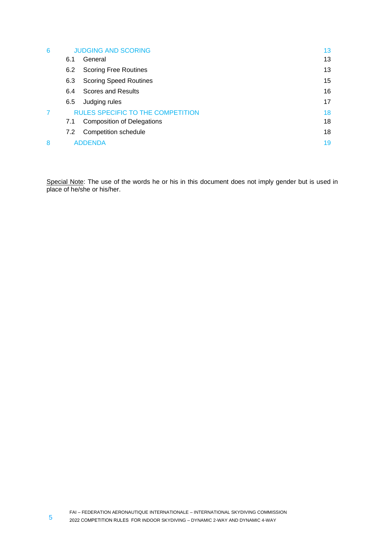| 6 |     | <b>JUDGING AND SCORING</b>               | 13 |
|---|-----|------------------------------------------|----|
|   | 6.1 | General                                  | 13 |
|   | 6.2 | <b>Scoring Free Routines</b>             | 13 |
|   | 6.3 | <b>Scoring Speed Routines</b>            | 15 |
|   | 6.4 | Scores and Results                       | 16 |
|   | 6.5 | Judging rules                            | 17 |
|   |     | <b>RULES SPECIFIC TO THE COMPETITION</b> | 18 |
|   | 7.1 | <b>Composition of Delegations</b>        | 18 |
|   | 7.2 | Competition schedule                     | 18 |
| 8 |     | <b>ADDENDA</b>                           | 19 |

Special Note: The use of the words he or his in this document does not imply gender but is used in place of he/she or his/her.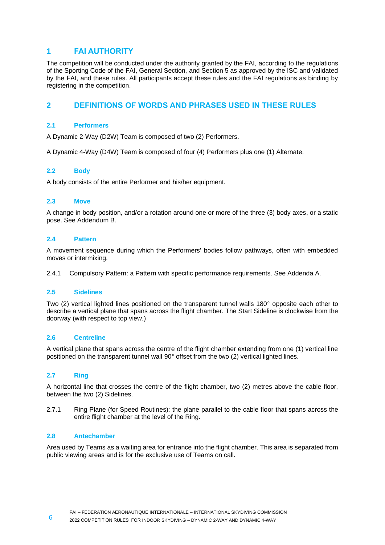# <span id="page-5-0"></span>**1 FAI AUTHORITY**

The competition will be conducted under the authority granted by the FAI, according to the regulations of the Sporting Code of the FAI, General Section, and Section 5 as approved by the ISC and validated by the FAI, and these rules. All participants accept these rules and the FAI regulations as binding by registering in the competition.

# <span id="page-5-1"></span>**2 DEFINITIONS OF WORDS AND PHRASES USED IN THESE RULES**

# <span id="page-5-2"></span>**2.1 Performers**

A Dynamic 2-Way (D2W) Team is composed of two (2) Performers.

A Dynamic 4-Way (D4W) Team is composed of four (4) Performers plus one (1) Alternate.

# <span id="page-5-3"></span>**2.2 Body**

A body consists of the entire Performer and his/her equipment.

# <span id="page-5-4"></span>**2.3 Move**

A change in body position, and/or a rotation around one or more of the three (3) body axes, or a static pose. See Addendum B.

# <span id="page-5-5"></span>**2.4 Pattern**

A movement sequence during which the Performers' bodies follow pathways, often with embedded moves or intermixing.

2.4.1 Compulsory Pattern: a Pattern with specific performance requirements. See Addenda A.

# <span id="page-5-6"></span>**2.5 Sidelines**

Two (2) vertical lighted lines positioned on the transparent tunnel walls 180° opposite each other to describe a vertical plane that spans across the flight chamber. The Start Sideline is clockwise from the doorway (with respect to top view.)

# <span id="page-5-7"></span>**2.6 Centreline**

A vertical plane that spans across the centre of the flight chamber extending from one (1) vertical line positioned on the transparent tunnel wall 90° offset from the two (2) vertical lighted lines.

# <span id="page-5-8"></span>**2.7 Ring**

A horizontal line that crosses the centre of the flight chamber, two (2) metres above the cable floor, between the two (2) Sidelines.

2.7.1 Ring Plane (for Speed Routines): the plane parallel to the cable floor that spans across the entire flight chamber at the level of the Ring.

# <span id="page-5-9"></span>**2.8 Antechamber**

Area used by Teams as a waiting area for entrance into the flight chamber. This area is separated from public viewing areas and is for the exclusive use of Teams on call.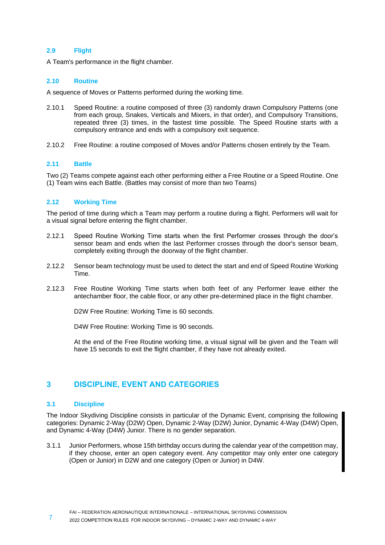# <span id="page-6-0"></span>**2.9 Flight**

A Team's performance in the flight chamber.

# <span id="page-6-1"></span>**2.10 Routine**

A sequence of Moves or Patterns performed during the working time.

- 2.10.1 Speed Routine: a routine composed of three (3) randomly drawn Compulsory Patterns (one from each group, Snakes, Verticals and Mixers, in that order), and Compulsory Transitions, repeated three (3) times, in the fastest time possible. The Speed Routine starts with a compulsory entrance and ends with a compulsory exit sequence.
- 2.10.2 Free Routine: a routine composed of Moves and/or Patterns chosen entirely by the Team.

# <span id="page-6-2"></span>**2.11 Battle**

Two (2) Teams compete against each other performing either a Free Routine or a Speed Routine. One (1) Team wins each Battle. (Battles may consist of more than two Teams)

# <span id="page-6-3"></span>**2.12 Working Time**

The period of time during which a Team may perform a routine during a flight. Performers will wait for a visual signal before entering the flight chamber.

- 2.12.1 Speed Routine Working Time starts when the first Performer crosses through the door's sensor beam and ends when the last Performer crosses through the door's sensor beam, completely exiting through the doorway of the flight chamber.
- 2.12.2 Sensor beam technology must be used to detect the start and end of Speed Routine Working Time.
- 2.12.3 Free Routine Working Time starts when both feet of any Performer leave either the antechamber floor, the cable floor, or any other pre-determined place in the flight chamber.

D2W Free Routine: Working Time is 60 seconds.

D4W Free Routine: Working Time is 90 seconds.

At the end of the Free Routine working time, a visual signal will be given and the Team will have 15 seconds to exit the flight chamber, if they have not already exited.

# <span id="page-6-4"></span>**3 DISCIPLINE, EVENT AND CATEGORIES**

# <span id="page-6-5"></span>**3.1 Discipline**

The Indoor Skydiving Discipline consists in particular of the Dynamic Event, comprising the following categories: Dynamic 2-Way (D2W) Open, Dynamic 2-Way (D2W) Junior, Dynamic 4-Way (D4W) Open, and Dynamic 4-Way (D4W) Junior. There is no gender separation.

3.1.1 Junior Performers, whose 15th birthday occurs during the calendar year of the competition may, if they choose, enter an open category event. Any competitor may only enter one category (Open or Junior) in D2W and one category (Open or Junior) in D4W.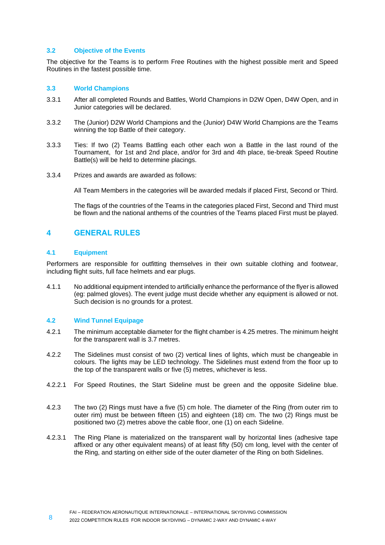# <span id="page-7-0"></span>**3.2 Objective of the Events**

The objective for the Teams is to perform Free Routines with the highest possible merit and Speed Routines in the fastest possible time.

# <span id="page-7-1"></span>**3.3 World Champions**

- 3.3.1 After all completed Rounds and Battles, World Champions in D2W Open, D4W Open, and in Junior categories will be declared.
- 3.3.2 The (Junior) D2W World Champions and the (Junior) D4W World Champions are the Teams winning the top Battle of their category.
- 3.3.3 Ties: If two (2) Teams Battling each other each won a Battle in the last round of the Tournament, for 1st and 2nd place, and/or for 3rd and 4th place, tie-break Speed Routine Battle(s) will be held to determine placings.
- 3.3.4 Prizes and awards are awarded as follows:

All Team Members in the categories will be awarded medals if placed First, Second or Third.

The flags of the countries of the Teams in the categories placed First, Second and Third must be flown and the national anthems of the countries of the Teams placed First must be played.

# <span id="page-7-2"></span>**4 GENERAL RULES**

# <span id="page-7-3"></span>**4.1 Equipment**

Performers are responsible for outfitting themselves in their own suitable clothing and footwear, including flight suits, full face helmets and ear plugs.

4.1.1 No additional equipment intended to artificially enhance the performance of the flyer is allowed (eg: palmed gloves). The event judge must decide whether any equipment is allowed or not. Such decision is no grounds for a protest.

# <span id="page-7-4"></span>**4.2 Wind Tunnel Equipage**

- 4.2.1 The minimum acceptable diameter for the flight chamber is 4.25 metres. The minimum height for the transparent wall is 3.7 metres.
- 4.2.2 The Sidelines must consist of two (2) vertical lines of lights, which must be changeable in colours. The lights may be LED technology. The Sidelines must extend from the floor up to the top of the transparent walls or five (5) metres, whichever is less.
- 4.2.2.1 For Speed Routines, the Start Sideline must be green and the opposite Sideline blue.
- 4.2.3 The two (2) Rings must have a five (5) cm hole. The diameter of the Ring (from outer rim to outer rim) must be between fifteen (15) and eighteen (18) cm. The two (2) Rings must be positioned two (2) metres above the cable floor, one (1) on each Sideline.
- 4.2.3.1 The Ring Plane is materialized on the transparent wall by horizontal lines (adhesive tape affixed or any other equivalent means) of at least fifty (50) cm long, level with the center of the Ring, and starting on either side of the outer diameter of the Ring on both Sidelines.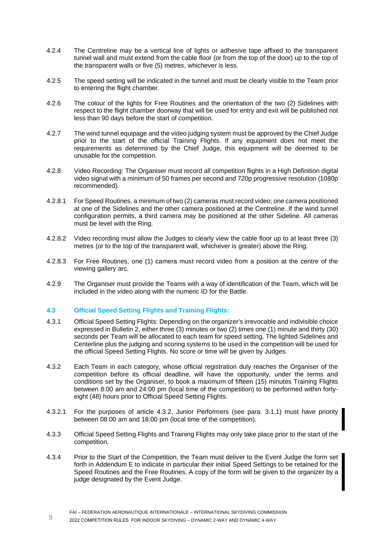- 4.2.4 The Centreline may be a vertical line of lights or adhesive tape affixed to the transparent tunnel wall and must extend from the cable floor (or from the top of the door) up to the top of the transparent walls or five (5) metres, whichever is less.
- 4.2.5 The speed setting will be indicated in the tunnel and must be clearly visible to the Team prior to entering the flight chamber.
- 4.2.6 The colour of the lights for Free Routines and the orientation of the two (2) Sidelines with respect to the flight chamber doorway that will be used for entry and exit will be published not less than 90 days before the start of competition.
- 4.2.7 The wind tunnel equipage and the video judging system must be approved by the Chief Judge prior to the start of the official Training Flights. If any equipment does not meet the requirements as determined by the Chief Judge, this equipment will be deemed to be unusable for the competition.
- 4.2.8 Video Recording: The Organiser must record all competition flights in a High Definition digital video signal with a minimum of 50 frames per second and 720p progressive resolution (1080p recommended).
- 4.2.8.1 For Speed Routines, a minimum of two (2) cameras must record video; one camera positioned at one of the Sidelines and the other camera positioned at the Centreline. If the wind tunnel configuration permits, a third camera may be positioned at the other Sideline. All cameras must be level with the Ring.
- 4.2.8.2 Video recording must allow the Judges to clearly view the cable floor up to at least three (3) metres (or to the top of the transparent wall, whichever is greater) above the Ring.
- 4.2.8.3 For Free Routines, one (1) camera must record video from a position at the centre of the viewing gallery arc.
- 4.2.9 The Organiser must provide the Teams with a way of identification of the Team, which will be included in the video along with the numeric ID for the Battle.

# <span id="page-8-0"></span>**4.3 Official Speed Setting Flights and Training Flights:**

- 4.3.1 Official Speed Setting Flights: Depending on the organizer's irrevocable and indivisible choice expressed in Bulletin 2, either three (3) minutes or two (2) times one (1) minute and thirty (30) seconds per Team will be allocated to each team for speed setting. The lighted Sidelines and Centerline plus the judging and scoring systems to be used in the competition will be used for the official Speed Setting Flights. No score or time will be given by Judges.
- 4.3.2 Each Team in each category, whose official registration duly reaches the Organiser of the competition before its official deadline, will have the opportunity, under the terms and conditions set by the Organiser, to book a maximum of fifteen (15) minutes Training Flights between 8:00 am and 24:00 pm (local time of the competition) to be performed within fortyeight (48) hours prior to Official Speed Setting Flights.
- 4.3.2.1 For the purposes of article 4.3.2, Junior Performers (see para. 3.1.1) must have priority between 08:00 am and 18:00 pm (local time of the competition).
- 4.3.3 Official Speed Setting Flights and Training Flights may only take place prior to the start of the competition.
- 4.3.4 Prior to the Start of the Competition, the Team must deliver to the Event Judge the form set forth in Addendum E to indicate in particular their initial Speed Settings to be retained for the Speed Routines and the Free Routines. A copy of the form will be given to the organizer by a judge designated by the Event Judge.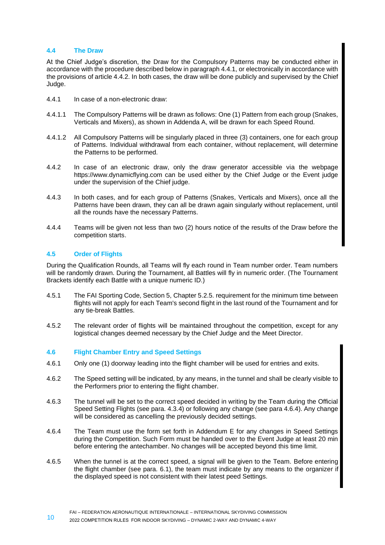# <span id="page-9-0"></span>**4.4 The Draw**

At the Chief Judge's discretion, the Draw for the Compulsory Patterns may be conducted either in accordance with the procedure described below in paragraph 4.4.1, or electronically in accordance with the provisions of article 4.4.2. In both cases, the draw will be done publicly and supervised by the Chief Judge.

- 4.4.1 In case of a non-electronic draw:
- 4.4.1.1 The Compulsory Patterns will be drawn as follows: One (1) Pattern from each group (Snakes, Verticals and Mixers), as shown in Addenda A, will be drawn for each Speed Round.
- 4.4.1.2 All Compulsory Patterns will be singularly placed in three (3) containers, one for each group of Patterns. Individual withdrawal from each container, without replacement, will determine the Patterns to be performed.
- 4.4.2 In case of an electronic draw, only the draw generator accessible via the webpage https://www.dynamicflying.com can be used either by the Chief Judge or the Event judge under the supervision of the Chief judge.
- 4.4.3 In both cases, and for each group of Patterns (Snakes, Verticals and Mixers), once all the Patterns have been drawn, they can all be drawn again singularly without replacement, until all the rounds have the necessary Patterns.
- 4.4.4 Teams will be given not less than two (2) hours notice of the results of the Draw before the competition starts.

# <span id="page-9-1"></span>**4.5 Order of Flights**

During the Qualification Rounds, all Teams will fly each round in Team number order. Team numbers will be randomly drawn. During the Tournament, all Battles will fly in numeric order. (The Tournament Brackets identify each Battle with a unique numeric ID.)

- 4.5.1 The FAI Sporting Code, Section 5, Chapter 5.2.5. requirement for the minimum time between flights will not apply for each Team's second flight in the last round of the Tournament and for any tie-break Battles.
- 4.5.2 The relevant order of flights will be maintained throughout the competition, except for any logistical changes deemed necessary by the Chief Judge and the Meet Director.

# <span id="page-9-2"></span>**4.6 Flight Chamber Entry and Speed Settings**

- 4.6.1 Only one (1) doorway leading into the flight chamber will be used for entries and exits.
- 4.6.2 The Speed setting will be indicated, by any means, in the tunnel and shall be clearly visible to the Performers prior to entering the flight chamber.
- 4.6.3 The tunnel will be set to the correct speed decided in writing by the Team during the Official Speed Setting Flights (see para. 4.3.4) or following any change (see para 4.6.4). Any change will be considered as cancelling the previously decided settings.
- 4.6.4 The Team must use the form set forth in Addendum E for any changes in Speed Settings during the Competition. Such Form must be handed over to the Event Judge at least 20 min before entering the antechamber. No changes will be accepted beyond this time limit.
- 4.6.5 When the tunnel is at the correct speed, a signal will be given to the Team. Before entering the flight chamber (see para. 6.1), the team must indicate by any means to the organizer if the displayed speed is not consistent with their latest peed Settings.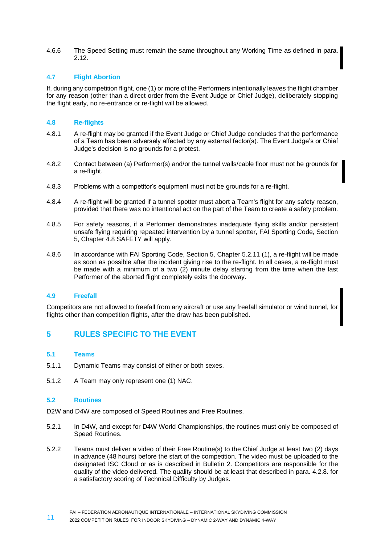4.6.6 The Speed Setting must remain the same throughout any Working Time as defined in para. 2.12.

# <span id="page-10-0"></span>**4.7 Flight Abortion**

If, during any competition flight, one (1) or more of the Performers intentionally leaves the flight chamber for any reason (other than a direct order from the Event Judge or Chief Judge), deliberately stopping the flight early, no re-entrance or re-flight will be allowed.

# <span id="page-10-1"></span>**4.8 Re-flights**

- 4.8.1 A re-flight may be granted if the Event Judge or Chief Judge concludes that the performance of a Team has been adversely affected by any external factor(s). The Event Judge's or Chief Judge's decision is no grounds for a protest.
- 4.8.2 Contact between (a) Performer(s) and/or the tunnel walls/cable floor must not be grounds for a re-flight.
- 4.8.3 Problems with a competitor's equipment must not be grounds for a re-flight.
- 4.8.4 A re-flight will be granted if a tunnel spotter must abort a Team's flight for any safety reason, provided that there was no intentional act on the part of the Team to create a safety problem.
- 4.8.5 For safety reasons, if a Performer demonstrates inadequate flying skills and/or persistent unsafe flying requiring repeated intervention by a tunnel spotter, FAI Sporting Code, Section 5, Chapter 4.8 SAFETY will apply.
- 4.8.6 In accordance with FAI Sporting Code, Section 5, Chapter 5.2.11 (1), a re-flight will be made as soon as possible after the incident giving rise to the re-flight. In all cases, a re-flight must be made with a minimum of a two (2) minute delay starting from the time when the last Performer of the aborted flight completely exits the doorway.

# <span id="page-10-2"></span>**4.9 Freefall**

Competitors are not allowed to freefall from any aircraft or use any freefall simulator or wind tunnel, for flights other than competition flights, after the draw has been published.

# <span id="page-10-3"></span>**5 RULES SPECIFIC TO THE EVENT**

# <span id="page-10-4"></span>**5.1 Teams**

- 5.1.1 Dynamic Teams may consist of either or both sexes.
- 5.1.2 A Team may only represent one (1) NAC.

# <span id="page-10-5"></span>**5.2 Routines**

D2W and D4W are composed of Speed Routines and Free Routines.

- 5.2.1 In D4W, and except for D4W World Championships, the routines must only be composed of Speed Routines.
- 5.2.2 Teams must deliver a video of their Free Routine(s) to the Chief Judge at least two (2) days in advance (48 hours) before the start of the competition. The video must be uploaded to the designated ISC Cloud or as is described in Bulletin 2. Competitors are responsible for the quality of the video delivered. The quality should be at least that described in para. 4.2.8. for a satisfactory scoring of Technical Difficulty by Judges.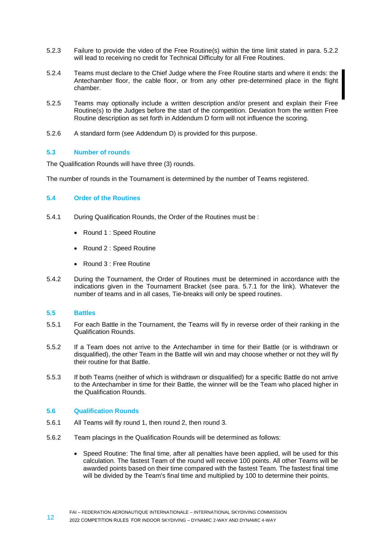- 5.2.3 Failure to provide the video of the Free Routine(s) within the time limit stated in para. 5.2.2 will lead to receiving no credit for Technical Difficulty for all Free Routines.
- 5.2.4 Teams must declare to the Chief Judge where the Free Routine starts and where it ends: the Antechamber floor, the cable floor, or from any other pre-determined place in the flight chamber.
- 5.2.5 Teams may optionally include a written description and/or present and explain their Free Routine(s) to the Judges before the start of the competition. Deviation from the written Free Routine description as set forth in Addendum D form will not influence the scoring.
- 5.2.6 A standard form (see Addendum D) is provided for this purpose.

# <span id="page-11-0"></span>**5.3 Number of rounds**

The Qualification Rounds will have three (3) rounds.

The number of rounds in the Tournament is determined by the number of Teams registered.

# <span id="page-11-1"></span>**5.4 Order of the Routines**

- 5.4.1 During Qualification Rounds, the Order of the Routines must be :
	- Round 1 : Speed Routine
	- Round 2 : Speed Routine
	- Round 3 : Free Routine
- 5.4.2 During the Tournament, the Order of Routines must be determined in accordance with the indications given in the Tournament Bracket (see para. 5.7.1 for the link). Whatever the number of teams and in all cases, Tie-breaks will only be speed routines.

# <span id="page-11-2"></span>**5.5 Battles**

- 5.5.1 For each Battle in the Tournament, the Teams will fly in reverse order of their ranking in the Qualification Rounds.
- 5.5.2 If a Team does not arrive to the Antechamber in time for their Battle (or is withdrawn or disqualified), the other Team in the Battle will win and may choose whether or not they will fly their routine for that Battle.
- 5.5.3 If both Teams (neither of which is withdrawn or disqualified) for a specific Battle do not arrive to the Antechamber in time for their Battle, the winner will be the Team who placed higher in the Qualification Rounds.

# <span id="page-11-3"></span>**5.6 Qualification Rounds**

- 5.6.1 All Teams will fly round 1, then round 2, then round 3.
- 5.6.2 Team placings in the Qualification Rounds will be determined as follows:
	- Speed Routine: The final time, after all penalties have been applied, will be used for this calculation. The fastest Team of the round will receive 100 points. All other Teams will be awarded points based on their time compared with the fastest Team. The fastest final time will be divided by the Team's final time and multiplied by 100 to determine their points.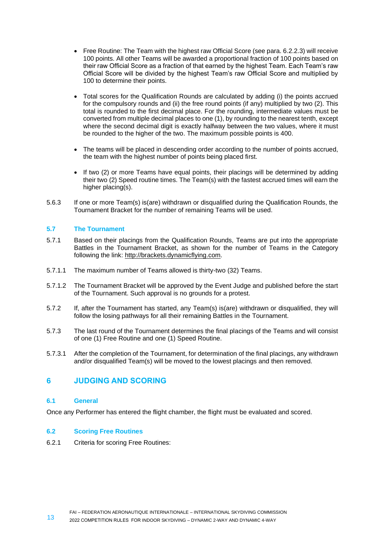- Free Routine: The Team with the highest raw Official Score (see para. 6.2.2.3) will receive 100 points. All other Teams will be awarded a proportional fraction of 100 points based on their raw Official Score as a fraction of that earned by the highest Team. Each Team's raw Official Score will be divided by the highest Team's raw Official Score and multiplied by 100 to determine their points.
- Total scores for the Qualification Rounds are calculated by adding (i) the points accrued for the compulsory rounds and (ii) the free round points (if any) multiplied by two (2). This total is rounded to the first decimal place. For the rounding, intermediate values must be converted from multiple decimal places to one (1), by rounding to the nearest tenth, except where the second decimal digit is exactly halfway between the two values, where it must be rounded to the higher of the two. The maximum possible points is 400.
- The teams will be placed in descending order according to the number of points accrued, the team with the highest number of points being placed first.
- If two (2) or more Teams have equal points, their placings will be determined by adding their two (2) Speed routine times. The Team(s) with the fastest accrued times will earn the higher placing(s).
- 5.6.3 If one or more Team(s) is(are) withdrawn or disqualified during the Qualification Rounds, the Tournament Bracket for the number of remaining Teams will be used.

# <span id="page-12-0"></span>**5.7 The Tournament**

- 5.7.1 Based on their placings from the Qualification Rounds, Teams are put into the appropriate Battles in the Tournament Bracket, as shown for the number of Teams in the Category following the link: http://brackets.dynamicflying.com.
- 5.7.1.1 The maximum number of Teams allowed is thirty-two (32) Teams.
- 5.7.1.2 The Tournament Bracket will be approved by the Event Judge and published before the start of the Tournament. Such approval is no grounds for a protest.
- 5.7.2 If, after the Tournament has started, any Team(s) is(are) withdrawn or disqualified, they will follow the losing pathways for all their remaining Battles in the Tournament.
- 5.7.3 The last round of the Tournament determines the final placings of the Teams and will consist of one (1) Free Routine and one (1) Speed Routine.
- 5.7.3.1 After the completion of the Tournament, for determination of the final placings, any withdrawn and/or disqualified Team(s) will be moved to the lowest placings and then removed.

# <span id="page-12-1"></span>**6 JUDGING AND SCORING**

# <span id="page-12-2"></span>**6.1 General**

Once any Performer has entered the flight chamber, the flight must be evaluated and scored.

# <span id="page-12-3"></span>**6.2 Scoring Free Routines**

6.2.1 Criteria for scoring Free Routines: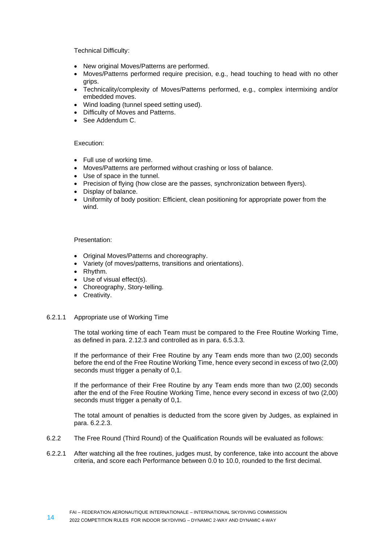Technical Difficulty:

- New original Moves/Patterns are performed.
- Moves/Patterns performed require precision, e.g., head touching to head with no other grips.
- Technicality/complexity of Moves/Patterns performed, e.g., complex intermixing and/or embedded moves.
- Wind loading (tunnel speed setting used).
- Difficulty of Moves and Patterns.
- See Addendum C.

# Execution:

- Full use of working time.
- Moves/Patterns are performed without crashing or loss of balance.
- Use of space in the tunnel.
- Precision of flying (how close are the passes, synchronization between flyers).
- Display of balance.
- Uniformity of body position: Efficient, clean positioning for appropriate power from the wind.

# Presentation:

- Original Moves/Patterns and choreography.
- Variety (of moves/patterns, transitions and orientations).
- Rhythm.
- Use of visual effect(s).
- Choreography, Story-telling.
- Creativity.

# 6.2.1.1 Appropriate use of Working Time

The total working time of each Team must be compared to the Free Routine Working Time, as defined in para. 2.12.3 and controlled as in para. 6.5.3.3.

If the performance of their Free Routine by any Team ends more than two (2,00) seconds before the end of the Free Routine Working Time, hence every second in excess of two (2,00) seconds must trigger a penalty of 0,1.

If the performance of their Free Routine by any Team ends more than two (2,00) seconds after the end of the Free Routine Working Time, hence every second in excess of two (2,00) seconds must trigger a penalty of 0,1.

The total amount of penalties is deducted from the score given by Judges, as explained in para. 6.2.2.3.

- 6.2.2 The Free Round (Third Round) of the Qualification Rounds will be evaluated as follows:
- 6.2.2.1 After watching all the free routines, judges must, by conference, take into account the above criteria, and score each Performance between 0.0 to 10.0, rounded to the first decimal.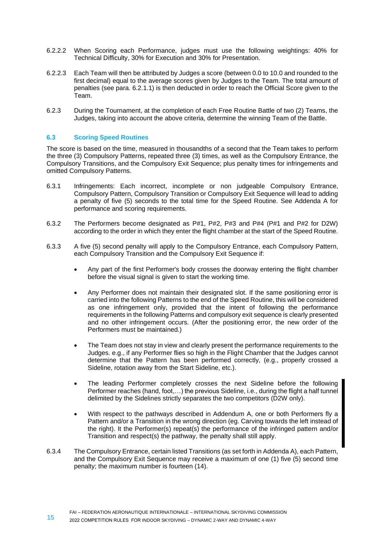- 6.2.2.2 When Scoring each Performance, judges must use the following weightings: 40% for Technical Difficulty, 30% for Execution and 30% for Presentation.
- 6.2.2.3 Each Team will then be attributed by Judges a score (between 0.0 to 10.0 and rounded to the first decimal) equal to the average scores given by Judges to the Team. The total amount of penalties (see para. 6.2.1.1) is then deducted in order to reach the Official Score given to the .<br>Team.
- 6.2.3 During the Tournament, at the completion of each Free Routine Battle of two (2) Teams, the Judges, taking into account the above criteria, determine the winning Team of the Battle.

# <span id="page-14-0"></span>**6.3 Scoring Speed Routines**

The score is based on the time, measured in thousandths of a second that the Team takes to perform the three (3) Compulsory Patterns, repeated three (3) times, as well as the Compulsory Entrance, the Compulsory Transitions, and the Compulsory Exit Sequence; plus penalty times for infringements and omitted Compulsory Patterns.

- 6.3.1 Infringements: Each incorrect, incomplete or non judgeable Compulsory Entrance, Compulsory Pattern, Compulsory Transition or Compulsory Exit Sequence will lead to adding a penalty of five (5) seconds to the total time for the Speed Routine. See Addenda A for performance and scoring requirements.
- 6.3.2 The Performers become designated as P#1, P#2, P#3 and P#4 (P#1 and P#2 for D2W) according to the order in which they enter the flight chamber at the start of the Speed Routine.
- 6.3.3 A five (5) second penalty will apply to the Compulsory Entrance, each Compulsory Pattern, each Compulsory Transition and the Compulsory Exit Sequence if:
	- Any part of the first Performer's body crosses the doorway entering the flight chamber before the visual signal is given to start the working time.
	- Any Performer does not maintain their designated slot. If the same positioning error is carried into the following Patterns to the end of the Speed Routine, this will be considered as one infringement only, provided that the intent of following the performance requirements in the following Patterns and compulsory exit sequence is clearly presented and no other infringement occurs. (After the positioning error, the new order of the Performers must be maintained.)
	- The Team does not stay in view and clearly present the performance requirements to the Judges. e.g., if any Performer flies so high in the Flight Chamber that the Judges cannot determine that the Pattern has been performed correctly, (e.g., properly crossed a Sideline, rotation away from the Start Sideline, etc.).
	- The leading Performer completely crosses the next Sideline before the following Performer reaches (hand, foot,…) the previous Sideline, i.e., during the flight a half tunnel delimited by the Sidelines strictly separates the two competitors (D2W only).
	- With respect to the pathways described in Addendum A, one or both Performers fly a Pattern and/or a Transition in the wrong direction (eg. Carving towards the left instead of the right). It the Performer(s) repeat(s) the performance of the infringed pattern and/or Transition and respect(s) the pathway, the penalty shall still apply.
- 6.3.4 The Compulsory Entrance, certain listed Transitions (as set forth in Addenda A), each Pattern, and the Compulsory Exit Sequence may receive a maximum of one (1) five (5) second time penalty; the maximum number is fourteen (14).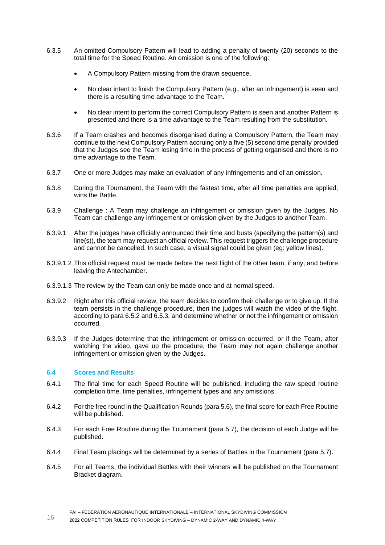- 6.3.5 An omitted Compulsory Pattern will lead to adding a penalty of twenty (20) seconds to the total time for the Speed Routine. An omission is one of the following:
	- A Compulsory Pattern missing from the drawn sequence.
	- No clear intent to finish the Compulsory Pattern (e.g., after an infringement) is seen and there is a resulting time advantage to the Team.
	- No clear intent to perform the correct Compulsory Pattern is seen and another Pattern is presented and there is a time advantage to the Team resulting from the substitution.
- 6.3.6 If a Team crashes and becomes disorganised during a Compulsory Pattern, the Team may continue to the next Compulsory Pattern accruing only a five (5) second time penalty provided that the Judges see the Team losing time in the process of getting organised and there is no time advantage to the Team.
- 6.3.7 One or more Judges may make an evaluation of any infringements and of an omission.
- 6.3.8 During the Tournament, the Team with the fastest time, after all time penalties are applied, wins the Battle.
- 6.3.9 Challenge : A Team may challenge an infringement or omission given by the Judges. No Team can challenge any infringement or omission given by the Judges to another Team.
- 6.3.9.1 After the judges have officially announced their time and busts (specifying the pattern(s) and line(s)), the team may request an official review. This request triggers the challenge procedure and cannot be cancelled. In such case, a visual signal could be given (eg: yellow lines).
- 6.3.9.1.2 This official request must be made before the next flight of the other team, if any, and before leaving the Antechamber.
- 6.3.9.1.3 The review by the Team can only be made once and at normal speed.
- 6.3.9.2 Right after this official review, the team decides to confirm their challenge or to give up. If the team persists in the challenge procedure, then the judges will watch the video of the flight, according to para 6.5.2 and 6.5.3, and determine whether or not the infringement or omission occurred.
- 6.3.9.3 If the Judges determine that the infringement or omission occurred, or if the Team, after watching the video, gave up the procedure, the Team may not again challenge another infringement or omission given by the Judges.

# <span id="page-15-0"></span>**6.4 Scores and Results**

- 6.4.1 The final time for each Speed Routine will be published, including the raw speed routine completion time, time penalties, infringement types and any omissions.
- 6.4.2 For the free round in the Qualification Rounds (para 5.6), the final score for each Free Routine will be published.
- 6.4.3 For each Free Routine during the Tournament (para 5.7), the decision of each Judge will be published.
- 6.4.4 Final Team placings will be determined by a series of Battles in the Tournament (para 5.7).
- 6.4.5 For all Teams, the individual Battles with their winners will be published on the Tournament Bracket diagram.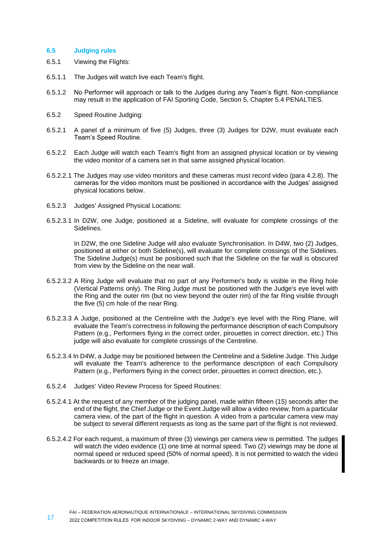# <span id="page-16-0"></span>**6.5 Judging rules**

- 6.5.1 Viewing the Flights:
- 6.5.1.1 The Judges will watch live each Team's flight.
- 6.5.1.2 No Performer will approach or talk to the Judges during any Team's flight. Non-compliance may result in the application of FAI Sporting Code, Section 5, Chapter 5.4 PENALTIES.
- 6.5.2 Speed Routine Judging:
- 6.5.2.1 A panel of a minimum of five (5) Judges, three (3) Judges for D2W, must evaluate each Team's Speed Routine.
- 6.5.2.2 Each Judge will watch each Team's flight from an assigned physical location or by viewing the video monitor of a camera set in that same assigned physical location.
- 6.5.2.2.1 The Judges may use video monitors and these cameras must record video (para 4.2.8). The cameras for the video monitors must be positioned in accordance with the Judges' assigned physical locations below.
- 6.5.2.3 Judges' Assigned Physical Locations:
- 6.5.2.3.1 In D2W, one Judge, positioned at a Sideline, will evaluate for complete crossings of the Sidelines.

In D2W, the one Sideline Judge will also evaluate Synchronisation. In D4W, two (2) Judges, positioned at either or both Sideline(s), will evaluate for complete crossings of the Sidelines. The Sideline Judge(s) must be positioned such that the Sideline on the far wall is obscured from view by the Sideline on the near wall.

- 6.5.2.3.2 A Ring Judge will evaluate that no part of any Performer's body is visible in the Ring hole (Vertical Patterns only). The Ring Judge must be positioned with the Judge's eye level with the Ring and the outer rim (but no view beyond the outer rim) of the far Ring visible through the five (5) cm hole of the near Ring.
- 6.5.2.3.3 A Judge, positioned at the Centreline with the Judge's eye level with the Ring Plane, will evaluate the Team's correctness in following the performance description of each Compulsory Pattern (e.g., Performers flying in the correct order, pirouettes in correct direction, etc.) This judge will also evaluate for complete crossings of the Centreline.
- 6.5.2.3.4 In D4W, a Judge may be positioned between the Centreline and a Sideline Judge. This Judge will evaluate the Team's adherence to the performance description of each Compulsory Pattern (e.g., Performers flying in the correct order, pirouettes in correct direction, etc.).
- 6.5.2.4 Judges' Video Review Process for Speed Routines:
- 6.5.2.4.1 At the request of any member of the judging panel, made within fifteen (15) seconds after the end of the flight, the Chief Judge or the Event Judge will allow a video review, from a particular camera view, of the part of the flight in question. A video from a particular camera view may be subject to several different requests as long as the same part of the flight is not reviewed.
- 6.5.2.4.2 For each request, a maximum of three (3) viewings per camera view is permitted. The judges will watch the video evidence (1) one time at normal speed. Two (2) viewings may be done at normal speed or reduced speed (50% of normal speed). It is not permitted to watch the video backwards or to freeze an image.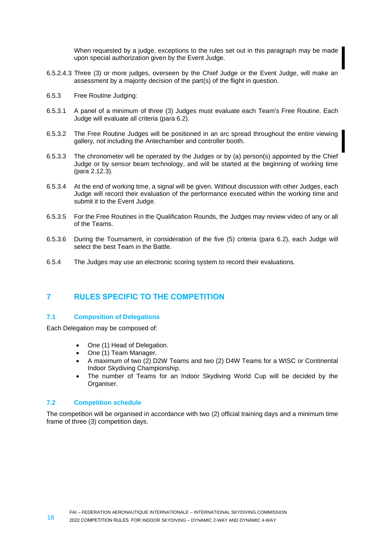When requested by a judge, exceptions to the rules set out in this paragraph may be made upon special authorization given by the Event Judge.

- 6.5.2.4.3 Three (3) or more judges, overseen by the Chief Judge or the Event Judge, will make an assessment by a majority decision of the part(s) of the flight in question.
- 6.5.3 Free Routine Judging:
- 6.5.3.1 A panel of a minimum of three (3) Judges must evaluate each Team's Free Routine. Each Judge will evaluate all criteria (para 6.2).
- 6.5.3.2 The Free Routine Judges will be positioned in an arc spread throughout the entire viewing gallery, not including the Antechamber and controller booth.
- 6.5.3.3 The chronometer will be operated by the Judges or by (a) person(s) appointed by the Chief Judge or by sensor beam technology, and will be started at the beginning of working time (para 2.12.3).
- 6.5.3.4 At the end of working time, a signal will be given. Without discussion with other Judges, each Judge will record their evaluation of the performance executed within the working time and submit it to the Event Judge.
- 6.5.3.5 For the Free Routines in the Qualification Rounds, the Judges may review video of any or all of the Teams.
- 6.5.3.6 During the Tournament, in consideration of the five (5) criteria (para 6.2), each Judge will select the best Team in the Battle.
- 6.5.4 The Judges may use an electronic scoring system to record their evaluations.

# <span id="page-17-0"></span>**7 RULES SPECIFIC TO THE COMPETITION**

# <span id="page-17-1"></span>**7.1 Composition of Delegations**

Each Delegation may be composed of:

- One (1) Head of Delegation.
- One (1) Team Manager.
- A maximum of two (2) D2W Teams and two (2) D4W Teams for a WISC or Continental Indoor Skydiving Championship.
- The number of Teams for an Indoor Skydiving World Cup will be decided by the Organiser.

# <span id="page-17-2"></span>**7.2 Competition schedule**

The competition will be organised in accordance with two (2) official training days and a minimum time frame of three (3) competition days.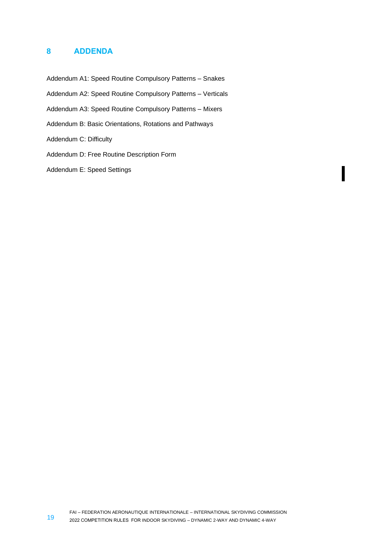# <span id="page-18-0"></span>**8 ADDENDA**

Addendum A1: Speed Routine Compulsory Patterns – Snakes Addendum A2: Speed Routine Compulsory Patterns – Verticals Addendum A3: Speed Routine Compulsory Patterns – Mixers Addendum B: Basic Orientations, Rotations and Pathways Addendum C: Difficulty Addendum D: Free Routine Description Form

Addendum E: Speed Settings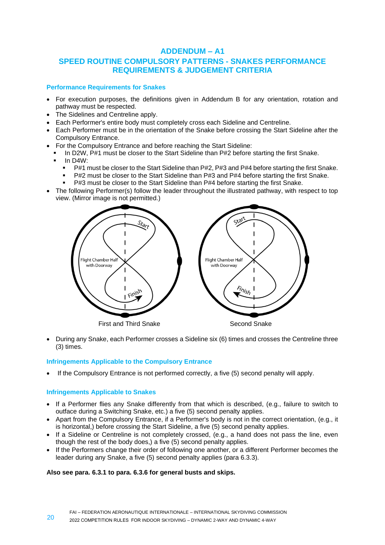# **ADDENDUM – A1**

# **SPEED ROUTINE COMPULSORY PATTERNS - SNAKES PERFORMANCE REQUIREMENTS & JUDGEMENT CRITERIA**

# **Performance Requirements for Snakes**

- For execution purposes, the definitions given in Addendum B for any orientation, rotation and pathway must be respected.
- The Sidelines and Centreline apply.
- Each Performer's entire body must completely cross each Sideline and Centreline.
- Each Performer must be in the orientation of the Snake before crossing the Start Sideline after the Compulsory Entrance.
- For the Compulsory Entrance and before reaching the Start Sideline:
- In D2W, P#1 must be closer to the Start Sideline than P#2 before starting the first Snake. In D4W:
	- - P#1 must be closer to the Start Sideline than P#2, P#3 and P#4 before starting the first Snake.
		- P#2 must be closer to the Start Sideline than P#3 and P#4 before starting the first Snake.
		- P#3 must be closer to the Start Sideline than P#4 before starting the first Snake.
- The following Performer(s) follow the leader throughout the illustrated pathway, with respect to top view. (Mirror image is not permitted.)



• During any Snake, each Performer crosses a Sideline six (6) times and crosses the Centreline three (3) times.

# **Infringements Applicable to the Compulsory Entrance**

• If the Compulsory Entrance is not performed correctly, a five (5) second penalty will apply.

# **Infringements Applicable to Snakes**

- If a Performer flies any Snake differently from that which is described, (e.g., failure to switch to outface during a Switching Snake, etc.) a five (5) second penalty applies.
- Apart from the Compulsory Entrance, if a Performer's body is not in the correct orientation, (e.g., it is horizontal,) before crossing the Start Sideline, a five (5) second penalty applies.
- If a Sideline or Centreline is not completely crossed, (e.g., a hand does not pass the line, even though the rest of the body does,) a five (5) second penalty applies.
- If the Performers change their order of following one another, or a different Performer becomes the leader during any Snake, a five (5) second penalty applies (para 6.3.3).

# **Also see para. 6.3.1 to para. 6.3.6 for general busts and skips.**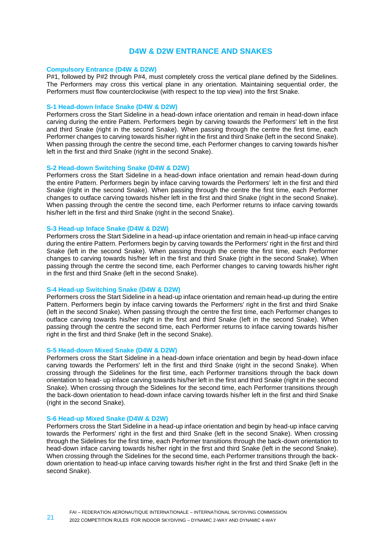# **D4W & D2W ENTRANCE AND SNAKES**

# **Compulsory Entrance (D4W & D2W)**

P#1, followed by P#2 through P#4, must completely cross the vertical plane defined by the Sidelines. The Performers may cross this vertical plane in any orientation. Maintaining sequential order, the Performers must flow counterclockwise (with respect to the top view) into the first Snake.

# **S-1 Head-down Inface Snake (D4W & D2W)**

Performers cross the Start Sideline in a head-down inface orientation and remain in head-down inface carving during the entire Pattern. Performers begin by carving towards the Performers' left in the first and third Snake (right in the second Snake). When passing through the centre the first time, each Performer changes to carving towards his/her right in the first and third Snake (left in the second Snake). When passing through the centre the second time, each Performer changes to carving towards his/her left in the first and third Snake (right in the second Snake).

# **S-2 Head-down Switching Snake (D4W & D2W)**

Performers cross the Start Sideline in a head-down inface orientation and remain head-down during the entire Pattern. Performers begin by inface carving towards the Performers' left in the first and third Snake (right in the second Snake). When passing through the centre the first time, each Performer changes to outface carving towards his/her left in the first and third Snake (right in the second Snake). When passing through the centre the second time, each Performer returns to inface carving towards his/her left in the first and third Snake (right in the second Snake).

# **S-3 Head-up Inface Snake (D4W & D2W)**

Performers cross the Start Sideline in a head-up inface orientation and remain in head-up inface carving during the entire Pattern. Performers begin by carving towards the Performers' right in the first and third Snake (left in the second Snake). When passing through the centre the first time, each Performer changes to carving towards his/her left in the first and third Snake (right in the second Snake). When passing through the centre the second time, each Performer changes to carving towards his/her right in the first and third Snake (left in the second Snake).

#### **S-4 Head-up Switching Snake (D4W & D2W)**

Performers cross the Start Sideline in a head-up inface orientation and remain head-up during the entire Pattern. Performers begin by inface carving towards the Performers' right in the first and third Snake (left in the second Snake). When passing through the centre the first time, each Performer changes to outface carving towards his/her right in the first and third Snake (left in the second Snake). When passing through the centre the second time, each Performer returns to inface carving towards his/her right in the first and third Snake (left in the second Snake).

#### **S-5 Head-down Mixed Snake (D4W & D2W)**

Performers cross the Start Sideline in a head-down inface orientation and begin by head-down inface carving towards the Performers' left in the first and third Snake (right in the second Snake). When crossing through the Sidelines for the first time, each Performer transitions through the back down orientation to head- up inface carving towards his/her left in the first and third Snake (right in the second Snake). When crossing through the Sidelines for the second time, each Performer transitions through the back-down orientation to head-down inface carving towards his/her left in the first and third Snake (right in the second Snake).

#### **S-6 Head-up Mixed Snake (D4W & D2W)**

Performers cross the Start Sideline in a head-up inface orientation and begin by head-up inface carving towards the Performers' right in the first and third Snake (left in the second Snake). When crossing through the Sidelines for the first time, each Performer transitions through the back-down orientation to head-down inface carving towards his/her right in the first and third Snake (left in the second Snake). When crossing through the Sidelines for the second time, each Performer transitions through the backdown orientation to head-up inface carving towards his/her right in the first and third Snake (left in the second Snake).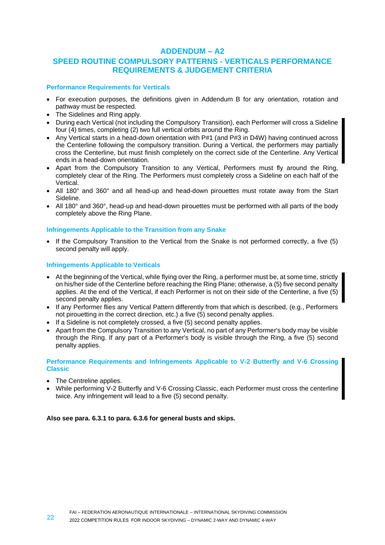# **ADDENDUM – A2**

# **SPEED ROUTINE COMPULSORY PATTERNS - VERTICALS PERFORMANCE REQUIREMENTS & JUDGEMENT CRITERIA**

# **Performance Requirements for Verticals**

- For execution purposes, the definitions given in Addendum B for any orientation, rotation and pathway must be respected.
- The Sidelines and Ring apply.
- During each Vertical (not including the Compulsory Transition), each Performer will cross a Sideline four (4) times, completing (2) two full vertical orbits around the Ring.
- Any Vertical starts in a head-down orientation with P#1 (and P#3 in D4W) having continued across the Centerline following the compulsory transition. During a Vertical, the performers may partially cross the Centerline, but must finish completely on the correct side of the Centerline. Any Vertical ends in a head-down orientation.
- Apart from the Compulsory Transition to any Vertical, Performers must fly around the Ring, completely clear of the Ring. The Performers must completely cross a Sideline on each half of the Vertical.
- All 180° and 360° and all head-up and head-down pirouettes must rotate away from the Start Sideline.
- All 180° and 360°, head-up and head-down pirouettes must be performed with all parts of the body completely above the Ring Plane.

# **Infringements Applicable to the Transition from any Snake**

• If the Compulsory Transition to the Vertical from the Snake is not performed correctly, a five (5) second penalty will apply.

# **Infringements Applicable to Verticals**

- At the beginning of the Vertical, while flying over the Ring, a performer must be, at some time, strictly on his/her side of the Centerline before reaching the Ring Plane; otherwise, a (5) five second penalty applies. At the end of the Vertical, if each Performer is not on their side of the Centerline, a five (5) second penalty applies.
- If any Performer flies any Vertical Pattern differently from that which is described, (e.g., Performers not pirouetting in the correct direction, etc.) a five (5) second penalty applies.
- If a Sideline is not completely crossed, a five (5) second penalty applies.
- Apart from the Compulsory Transition to any Vertical, no part of any Performer's body may be visible through the Ring. If any part of a Performer's body is visible through the Ring, a five (5) second penalty applies.

# **Performance Requirements and Infringements Applicable to V-2 Butterfly and V-6 Crossing Classic**

- The Centreline applies.
- While performing V-2 Butterfly and V-6 Crossing Classic, each Performer must cross the centerline twice. Any infringement will lead to a five (5) second penalty.

# **Also see para. 6.3.1 to para. 6.3.6 for general busts and skips.**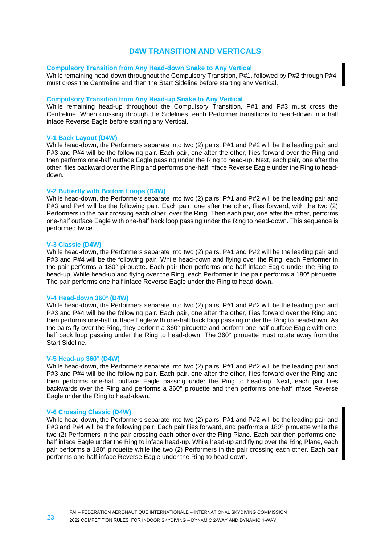# **D4W TRANSITION AND VERTICALS**

# **Compulsory Transition from Any Head-down Snake to Any Vertical**

While remaining head-down throughout the Compulsory Transition, P#1, followed by P#2 through P#4, must cross the Centreline and then the Start Sideline before starting any Vertical.

#### **Compulsory Transition from Any Head-up Snake to Any Vertical**

While remaining head-up throughout the Compulsory Transition, P#1 and P#3 must cross the Centreline. When crossing through the Sidelines, each Performer transitions to head-down in a half inface Reverse Eagle before starting any Vertical.

### **V-1 Back Layout (D4W)**

While head-down, the Performers separate into two (2) pairs. P#1 and P#2 will be the leading pair and P#3 and P#4 will be the following pair. Each pair, one after the other, flies forward over the Ring and then performs one-half outface Eagle passing under the Ring to head-up. Next, each pair, one after the other, flies backward over the Ring and performs one-half inface Reverse Eagle under the Ring to headdown.

#### **V-2 Butterfly with Bottom Loops (D4W)**

While head-down, the Performers separate into two (2) pairs: P#1 and P#2 will be the leading pair and P#3 and P#4 will be the following pair. Each pair, one after the other, flies forward, with the two (2) Performers in the pair crossing each other, over the Ring. Then each pair, one after the other, performs one-half outface Eagle with one-half back loop passing under the Ring to head-down. This sequence is performed twice.

#### **V-3 Classic (D4W)**

While head-down, the Performers separate into two (2) pairs. P#1 and P#2 will be the leading pair and P#3 and P#4 will be the following pair. While head-down and flying over the Ring, each Performer in the pair performs a 180° pirouette. Each pair then performs one-half inface Eagle under the Ring to head-up. While head-up and flying over the Ring, each Performer in the pair performs a 180° pirouette. The pair performs one-half inface Reverse Eagle under the Ring to head-down.

#### **V-4 Head-down 360° (D4W)**

While head-down, the Performers separate into two (2) pairs. P#1 and P#2 will be the leading pair and P#3 and P#4 will be the following pair. Each pair, one after the other, flies forward over the Ring and then performs one-half outface Eagle with one-half back loop passing under the Ring to head-down. As the pairs fly over the Ring, they perform a 360° pirouette and perform one-half outface Eagle with onehalf back loop passing under the Ring to head-down. The 360° pirouette must rotate away from the Start Sideline.

# **V-5 Head-up 360° (D4W)**

While head-down, the Performers separate into two (2) pairs. P#1 and P#2 will be the leading pair and P#3 and P#4 will be the following pair. Each pair, one after the other, flies forward over the Ring and then performs one-half outface Eagle passing under the Ring to head-up. Next, each pair flies backwards over the Ring and performs a 360° pirouette and then performs one-half inface Reverse Eagle under the Ring to head-down.

# **V-6 Crossing Classic (D4W)**

While head-down, the Performers separate into two (2) pairs. P#1 and P#2 will be the leading pair and P#3 and P#4 will be the following pair. Each pair flies forward, and performs a 180° pirouette while the two (2) Performers in the pair crossing each other over the Ring Plane. Each pair then performs onehalf inface Eagle under the Ring to inface head-up. While head-up and flying over the Ring Plane, each pair performs a 180° pirouette while the two (2) Performers in the pair crossing each other. Each pair performs one-half inface Reverse Eagle under the Ring to head-down.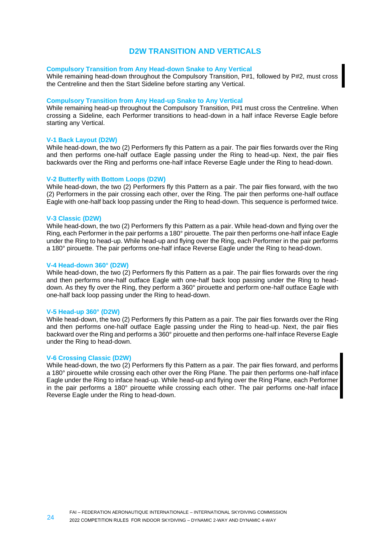# **D2W TRANSITION AND VERTICALS**

### **Compulsory Transition from Any Head-down Snake to Any Vertical**

While remaining head-down throughout the Compulsory Transition, P#1, followed by P#2, must cross the Centreline and then the Start Sideline before starting any Vertical.

#### **Compulsory Transition from Any Head-up Snake to Any Vertical**

While remaining head-up throughout the Compulsory Transition, P#1 must cross the Centreline. When crossing a Sideline, each Performer transitions to head-down in a half inface Reverse Eagle before starting any Vertical.

# **V-1 Back Layout (D2W)**

While head-down, the two (2) Performers fly this Pattern as a pair. The pair flies forwards over the Ring and then performs one-half outface Eagle passing under the Ring to head-up. Next, the pair flies backwards over the Ring and performs one-half inface Reverse Eagle under the Ring to head-down.

#### **V-2 Butterfly with Bottom Loops (D2W)**

While head-down, the two (2) Performers fly this Pattern as a pair. The pair flies forward, with the two (2) Performers in the pair crossing each other, over the Ring. The pair then performs one-half outface Eagle with one-half back loop passing under the Ring to head-down. This sequence is performed twice.

#### **V-3 Classic (D2W)**

While head-down, the two (2) Performers fly this Pattern as a pair. While head-down and flying over the Ring, each Performer in the pair performs a 180° pirouette. The pair then performs one-half inface Eagle under the Ring to head-up. While head-up and flying over the Ring, each Performer in the pair performs a 180° pirouette. The pair performs one-half inface Reverse Eagle under the Ring to head-down.

#### **V-4 Head-down 360° (D2W)**

While head-down, the two (2) Performers fly this Pattern as a pair. The pair flies forwards over the ring and then performs one-half outface Eagle with one-half back loop passing under the Ring to headdown. As they fly over the Ring, they perform a 360° pirouette and perform one-half outface Eagle with one-half back loop passing under the Ring to head-down.

#### **V-5 Head-up 360° (D2W)**

While head-down, the two (2) Performers fly this Pattern as a pair. The pair flies forwards over the Ring and then performs one-half outface Eagle passing under the Ring to head-up. Next, the pair flies backward over the Ring and performs a 360° pirouette and then performs one-half inface Reverse Eagle under the Ring to head-down.

#### **V-6 Crossing Classic (D2W)**

While head-down, the two (2) Performers fly this Pattern as a pair. The pair flies forward, and performs a 180° pirouette while crossing each other over the Ring Plane. The pair then performs one-half inface Eagle under the Ring to inface head-up. While head-up and flying over the Ring Plane, each Performer in the pair performs a 180° pirouette while crossing each other. The pair performs one-half inface Reverse Eagle under the Ring to head-down.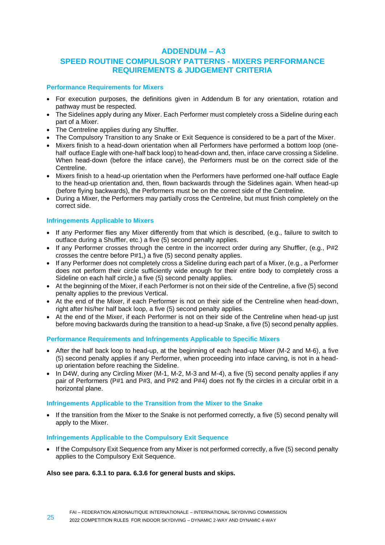# **ADDENDUM – A3**

# **SPEED ROUTINE COMPULSORY PATTERNS - MIXERS PERFORMANCE REQUIREMENTS & JUDGEMENT CRITERIA**

# **Performance Requirements for Mixers**

- For execution purposes, the definitions given in Addendum B for any orientation, rotation and pathway must be respected.
- The Sidelines apply during any Mixer. Each Performer must completely cross a Sideline during each part of a Mixer.
- The Centreline applies during any Shuffler.
- The Compulsory Transition to any Snake or Exit Sequence is considered to be a part of the Mixer.
- Mixers finish to a head-down orientation when all Performers have performed a bottom loop (onehalf outface Eagle with one-half back loop) to head-down and, then, inface carve crossing a Sideline. When head-down (before the inface carve), the Performers must be on the correct side of the Centreline.
- Mixers finish to a head-up orientation when the Performers have performed one-half outface Eagle to the head-up orientation and, then, flown backwards through the Sidelines again. When head-up (before flying backwards), the Performers must be on the correct side of the Centreline.
- During a Mixer, the Performers may partially cross the Centreline, but must finish completely on the correct side.

# **Infringements Applicable to Mixers**

- If any Performer flies any Mixer differently from that which is described, (e.g., failure to switch to outface during a Shuffler, etc.) a five (5) second penalty applies.
- If any Performer crosses through the centre in the incorrect order during any Shuffler, (e.g., P#2) crosses the centre before P#1,) a five (5) second penalty applies.
- If any Performer does not completely cross a Sideline during each part of a Mixer, (e.g., a Performer does not perform their circle sufficiently wide enough for their entire body to completely cross a Sideline on each half circle,) a five (5) second penalty applies.
- At the beginning of the Mixer, if each Performer is not on their side of the Centreline, a five (5) second penalty applies to the previous Vertical.
- At the end of the Mixer, if each Performer is not on their side of the Centreline when head-down, right after his/her half back loop, a five (5) second penalty applies.
- At the end of the Mixer, if each Performer is not on their side of the Centreline when head-up just before moving backwards during the transition to a head-up Snake, a five (5) second penalty applies.

# **Performance Requirements and Infringements Applicable to Specific Mixers**

- After the half back loop to head-up, at the beginning of each head-up Mixer (M-2 and M-6), a five (5) second penalty applies if any Performer, when proceeding into inface carving, is not in a headup orientation before reaching the Sideline.
- In D4W, during any Circling Mixer (M-1, M-2, M-3 and M-4), a five (5) second penalty applies if any pair of Performers (P#1 and P#3, and P#2 and P#4) does not fly the circles in a circular orbit in a horizontal plane.

# **Infringements Applicable to the Transition from the Mixer to the Snake**

• If the transition from the Mixer to the Snake is not performed correctly, a five (5) second penalty will apply to the Mixer.

# **Infringements Applicable to the Compulsory Exit Sequence**

If the Compulsory Exit Sequence from any Mixer is not performed correctly, a five (5) second penalty applies to the Compulsory Exit Sequence.

# **Also see para. 6.3.1 to para. 6.3.6 for general busts and skips.**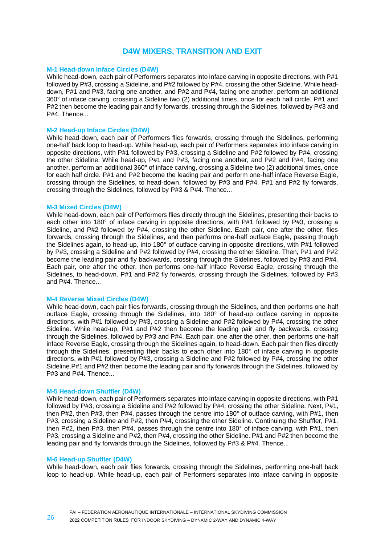# **D4W MIXERS, TRANSITION AND EXIT**

### **M-1 Head-down Inface Circles (D4W)**

While head-down, each pair of Performers separates into inface carving in opposite directions, with P#1 followed by P#3, crossing a Sideline, and P#2 followed by P#4, crossing the other Sideline. While headdown, P#1 and P#3, facing one another, and P#2 and P#4, facing one another, perform an additional 360° of inface carving, crossing a Sideline two (2) additional times, once for each half circle. P#1 and P#2 then become the leading pair and fly forwards, crossing through the Sidelines, followed by P#3 and P#4. Thence...

#### **M-2 Head-up Inface Circles (D4W)**

While head-down, each pair of Performers flies forwards, crossing through the Sidelines, performing one-half back loop to head-up. While head-up, each pair of Performers separates into inface carving in opposite directions, with P#1 followed by P#3, crossing a Sideline and P#2 followed by P#4, crossing the other Sideline. While head-up, P#1 and P#3, facing one another, and P#2 and P#4, facing one another, perform an additional 360° of inface carving, crossing a Sideline two (2) additional times, once for each half circle. P#1 and P#2 become the leading pair and perform one-half inface Reverse Eagle, crossing through the Sidelines, to head-down, followed by P#3 and P#4. P#1 and P#2 fly forwards, crossing through the Sidelines, followed by P#3 & P#4. Thence...

#### **M-3 Mixed Circles (D4W)**

While head-down, each pair of Performers flies directly through the Sidelines, presenting their backs to each other into 180° of inface carving in opposite directions, with P#1 followed by P#3, crossing a Sideline, and P#2 followed by P#4, crossing the other Sideline. Each pair, one after the other, flies forwards, crossing through the Sidelines, and then performs one-half outface Eagle, passing though the Sidelines again, to head-up, into 180° of outface carving in opposite directions, with P#1 followed by P#3, crossing a Sideline and P#2 followed by P#4, crossing the other Sideline. Then, P#1 and P#2 become the leading pair and fly backwards, crossing through the Sidelines, followed by P#3 and P#4. Each pair, one after the other, then performs one-half inface Reverse Eagle, crossing through the Sidelines, to head-down. P#1 and P#2 fly forwards, crossing through the Sidelines, followed by P#3 and P#4. Thence...

#### **M-4 Reverse Mixed Circles (D4W)**

While head-down, each pair flies forwards, crossing through the Sidelines, and then performs one-half outface Eagle, crossing through the Sidelines, into 180° of head-up outface carving in opposite directions, with P#1 followed by P#3, crossing a Sideline and P#2 followed by P#4, crossing the other Sideline. While head-up, P#1 and P#2 then become the leading pair and fly backwards, crossing through the Sidelines, followed by P#3 and P#4. Each pair, one after the other, then performs one-half inface Reverse Eagle, crossing through the Sidelines again, to head-down. Each pair then flies directly through the Sidelines, presenting their backs to each other into 180° of inface carving in opposite directions, with P#1 followed by P#3, crossing a Sideline and P#2 followed by P#4, crossing the other Sideline.P#1 and P#2 then become the leading pair and fly forwards through the Sidelines, followed by P#3 and P#4. Thence...

### **M-5 Head-down Shuffler (D4W)**

While head-down, each pair of Performers separates into inface carving in opposite directions, with P#1 followed by P#3, crossing a Sideline and P#2 followed by P#4, crossing the other Sideline. Next, P#1, then P#2, then P#3, then P#4, passes through the centre into 180° of outface carving, with P#1, then P#3, crossing a Sideline and P#2, then P#4, crossing the other Sideline. Continuing the Shuffler, P#1, then P#2, then P#3, then P#4, passes through the centre into 180° of inface carving, with P#1, then P#3, crossing a Sideline and P#2, then P#4, crossing the other Sideline. P#1 and P#2 then become the leading pair and fly forwards through the Sidelines, followed by P#3 & P#4. Thence...

#### **M-6 Head-up Shuffler (D4W)**

While head-down, each pair flies forwards, crossing through the Sidelines, performing one-half back loop to head-up. While head-up, each pair of Performers separates into inface carving in opposite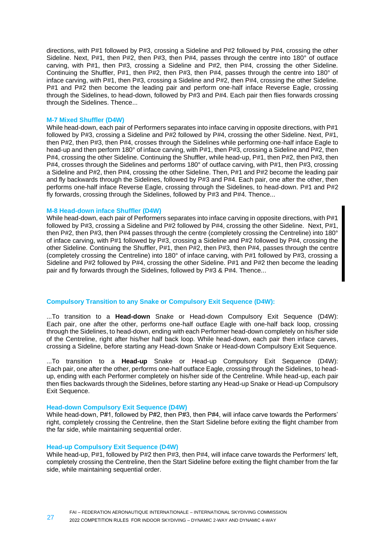directions, with P#1 followed by P#3, crossing a Sideline and P#2 followed by P#4, crossing the other Sideline. Next, P#1, then P#2, then P#3, then P#4, passes through the centre into 180° of outface carving, with P#1, then P#3, crossing a Sideline and P#2, then P#4, crossing the other Sideline. Continuing the Shuffler, P#1, then P#2, then P#3, then P#4, passes through the centre into 180° of inface carving, with P#1, then P#3, crossing a Sideline and P#2, then P#4, crossing the other Sideline. P#1 and P#2 then become the leading pair and perform one-half inface Reverse Eagle, crossing through the Sidelines, to head-down, followed by P#3 and P#4. Each pair then flies forwards crossing through the Sidelines. Thence...

#### **M-7 Mixed Shuffler (D4W)**

While head-down, each pair of Performers separates into inface carving in opposite directions, with P#1 followed by P#3, crossing a Sideline and P#2 followed by P#4, crossing the other Sideline. Next, P#1, then P#2, then P#3, then P#4, crosses through the Sidelines while performing one-half inface Eagle to head-up and then perform 180° of inface carving, with P#1, then P#3, crossing a Sideline and P#2, then P#4, crossing the other Sideline. Continuing the Shuffler, while head-up, P#1, then P#2, then P#3, then P#4, crosses through the Sidelines and performs 180° of outface carving, with P#1, then P#3, crossing a Sideline and P#2, then P#4, crossing the other Sideline. Then, P#1 and P#2 become the leading pair and fly backwards through the Sidelines, followed by P#3 and P#4. Each pair, one after the other, then performs one-half inface Reverse Eagle, crossing through the Sidelines, to head-down. P#1 and P#2 fly forwards, crossing through the Sidelines, followed by P#3 and P#4. Thence...

#### **M-8 Head-down inface Shuffler (D4W)**

While head-down, each pair of Performers separates into inface carving in opposite directions, with P#1 followed by P#3, crossing a Sideline and P#2 followed by P#4, crossing the other Sideline. Next, P#1, then P#2, then P#3, then P#4 passes through the centre (completely crossing the Centreline) into 180° of inface carving, with P#1 followed by P#3, crossing a Sideline and P#2 followed by P#4, crossing the other Sideline. Continuing the Shuffler, P#1, then P#2, then P#3, then P#4, passes through the centre (completely crossing the Centreline) into 180° of inface carving, with P#1 followed by P#3, crossing a Sideline and P#2 followed by P#4, crossing the other Sideline. P#1 and P#2 then become the leading pair and fly forwards through the Sidelines, followed by P#3 & P#4. Thence...

# **Compulsory Transition to any Snake or Compulsory Exit Sequence (D4W):**

...To transition to a **Head-down** Snake or Head-down Compulsory Exit Sequence (D4W): Each pair, one after the other, performs one-half outface Eagle with one-half back loop, crossing through the Sidelines, to head-down, ending with each Performer head-down completely on his/her side of the Centreline, right after his/her half back loop. While head-down, each pair then inface carves, crossing a Sideline, before starting any Head-down Snake or Head-down Compulsory Exit Sequence.

...To transition to a **Head-up** Snake or Head-up Compulsory Exit Sequence (D4W): Each pair, one after the other, performs one-half outface Eagle, crossing through the Sidelines, to headup, ending with each Performer completely on his/her side of the Centreline. While head-up, each pair then flies backwards through the Sidelines, before starting any Head-up Snake or Head-up Compulsory Exit Sequence.

### **Head-down Compulsory Exit Sequence (D4W)**

While head-down, P#1, followed by P#2, then P#3, then P#4, will inface carve towards the Performers' right, completely crossing the Centreline, then the Start Sideline before exiting the flight chamber from the far side, while maintaining sequential order.

#### **Head-up Compulsory Exit Sequence (D4W)**

While head-up, P#1, followed by P#2 then P#3, then P#4, will inface carve towards the Performers' left, completely crossing the Centreline, then the Start Sideline before exiting the flight chamber from the far side, while maintaining sequential order.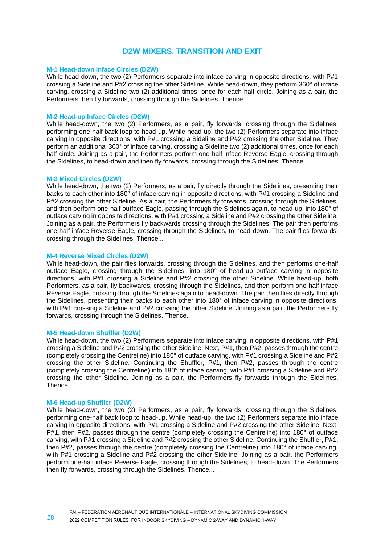# **D2W MIXERS, TRANSITION AND EXIT**

# **M-1 Head-down Inface Circles (D2W)**

While head-down, the two (2) Performers separate into inface carving in opposite directions, with P#1 crossing a Sideline and P#2 crossing the other Sideline. While head-down, they perform 360° of inface carving, crossing a Sideline two (2) additional times, once for each half circle. Joining as a pair, the Performers then fly forwards, crossing through the Sidelines. Thence...

# **M-2 Head-up Inface Circles (D2W)**

While head-down, the two (2) Performers, as a pair, fly forwards, crossing through the Sidelines, performing one-half back loop to head-up. While head-up, the two (2) Performers separate into inface carving in opposite directions, with P#1 crossing a Sideline and P#2 crossing the other Sideline. They perform an additional 360° of inface carving, crossing a Sideline two (2) additional times, once for each half circle. Joining as a pair, the Performers perform one-half inface Reverse Eagle, crossing through the Sidelines, to head-down and then fly forwards, crossing through the Sidelines. Thence...

#### **M-3 Mixed Circles (D2W)**

While head-down, the two (2) Performers, as a pair, fly directly through the Sidelines, presenting their backs to each other into 180° of inface carving in opposite directions, with P#1 crossing a Sideline and P#2 crossing the other Sideline. As a pair, the Performers fly forwards, crossing through the Sidelines, and then perform one-half outface Eagle, passing through the Sidelines again, to head-up, into 180° of outface carving in opposite directions, with P#1 crossing a Sideline and P#2 crossing the other Sideline. Joining as a pair, the Performers fly backwards crossing through the Sidelines. The pair then performs one-half inface Reverse Eagle, crossing through the Sidelines, to head-down. The pair flies forwards, crossing through the Sidelines. Thence...

#### **M-4 Reverse Mixed Circles (D2W)**

While head-down, the pair flies forwards, crossing through the Sidelines, and then performs one-half outface Eagle, crossing through the Sidelines, into 180° of head-up outface carving in opposite directions, with P#1 crossing a Sideline and P#2 crossing the other Sideline. While head-up, both Performers, as a pair, fly backwards, crossing through the Sidelines, and then perform one-half inface Reverse Eagle, crossing through the Sidelines again to head-down. The pair then flies directly through the Sidelines, presenting their backs to each other into 180° of inface carving in opposite directions, with P#1 crossing a Sideline and P#2 crossing the other Sideline. Joining as a pair, the Performers fly forwards, crossing through the Sidelines. Thence...

# **M-5 Head-down Shuffler (D2W)**

While head-down, the two (2) Performers separate into inface carving in opposite directions, with P#1 crossing a Sideline and P#2 crossing the other Sideline. Next, P#1, then P#2, passes through the centre (completely crossing the Centreline) into 180° of outface carving, with P#1 crossing a Sideline and P#2 crossing the other Sideline. Continuing the Shuffler, P#1, then P#2, passes through the centre (completely crossing the Centreline) into 180° of inface carving, with P#1 crossing a Sideline and P#2 crossing the other Sideline. Joining as a pair, the Performers fly forwards through the Sidelines. Thence...

#### **M-6 Head-up Shuffler (D2W)**

While head-down, the two (2) Performers, as a pair, fly forwards, crossing through the Sidelines, performing one-half back loop to head-up. While head-up, the two (2) Performers separate into inface carving in opposite directions, with P#1 crossing a Sideline and P#2 crossing the other Sideline. Next, P#1, then P#2, passes through the centre (completely crossing the Centreline) into 180° of outface carving, with P#1 crossing a Sideline and P#2 crossing the other Sideline. Continuing the Shuffler, P#1, then P#2, passes through the centre (completely crossing the Centreline) into 180° of inface carving, with P#1 crossing a Sideline and P#2 crossing the other Sideline. Joining as a pair, the Performers perform one-half inface Reverse Eagle, crossing through the Sidelines, to head-down. The Performers then fly forwards, crossing through the Sidelines. Thence...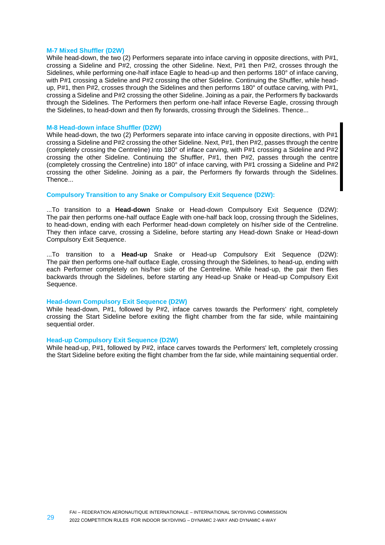#### **M-7 Mixed Shuffler (D2W)**

While head-down, the two (2) Performers separate into inface carving in opposite directions, with P#1, crossing a Sideline and P#2, crossing the other Sideline. Next, P#1 then P#2, crosses through the Sidelines, while performing one-half inface Eagle to head-up and then performs 180° of inface carving, with P#1 crossing a Sideline and P#2 crossing the other Sideline. Continuing the Shuffler, while headup, P#1, then P#2, crosses through the Sidelines and then performs 180° of outface carving, with P#1, crossing a Sideline and P#2 crossing the other Sideline. Joining as a pair, the Performers fly backwards through the Sidelines. The Performers then perform one-half inface Reverse Eagle, crossing through the Sidelines, to head-down and then fly forwards, crossing through the Sidelines. Thence...

#### **M-8 Head-down inface Shuffler (D2W)**

While head-down, the two (2) Performers separate into inface carving in opposite directions, with P#1 crossing a Sideline and P#2 crossing the other Sideline. Next, P#1, then P#2, passes through the centre (completely crossing the Centreline) into 180° of inface carving, with P#1 crossing a Sideline and P#2 crossing the other Sideline. Continuing the Shuffler, P#1, then P#2, passes through the centre (completely crossing the Centreline) into 180° of inface carving, with P#1 crossing a Sideline and P#2 crossing the other Sideline. Joining as a pair, the Performers fly forwards through the Sidelines. Thence...

# **Compulsory Transition to any Snake or Compulsory Exit Sequence (D2W):**

...To transition to a **Head-down** Snake or Head-down Compulsory Exit Sequence (D2W): The pair then performs one-half outface Eagle with one-half back loop, crossing through the Sidelines, to head-down, ending with each Performer head-down completely on his/her side of the Centreline. They then inface carve, crossing a Sideline, before starting any Head-down Snake or Head-down Compulsory Exit Sequence.

...To transition to a **Head-up** Snake or Head-up Compulsory Exit Sequence (D2W): The pair then performs one-half outface Eagle, crossing through the Sidelines, to head-up, ending with each Performer completely on his/her side of the Centreline. While head-up, the pair then flies backwards through the Sidelines, before starting any Head-up Snake or Head-up Compulsory Exit Sequence.

#### **Head-down Compulsory Exit Sequence (D2W)**

While head-down, P#1, followed by P#2, inface carves towards the Performers' right, completely crossing the Start Sideline before exiting the flight chamber from the far side, while maintaining sequential order.

#### **Head-up Compulsory Exit Sequence (D2W)**

While head-up, P#1, followed by P#2, inface carves towards the Performers' left, completely crossing the Start Sideline before exiting the flight chamber from the far side, while maintaining sequential order.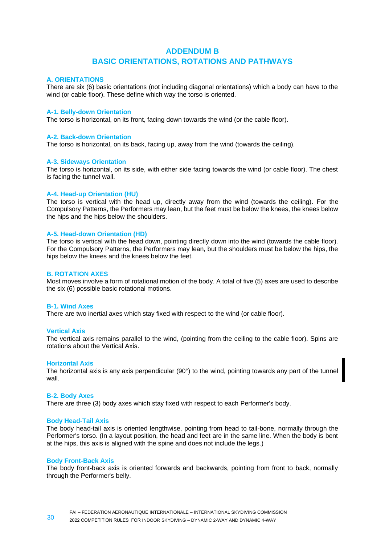# **ADDENDUM B BASIC ORIENTATIONS, ROTATIONS AND PATHWAYS**

#### **A. ORIENTATIONS**

There are six (6) basic orientations (not including diagonal orientations) which a body can have to the wind (or cable floor). These define which way the torso is oriented.

#### **A-1. Belly-down Orientation**

The torso is horizontal, on its front, facing down towards the wind (or the cable floor).

#### **A-2. Back-down Orientation**

The torso is horizontal, on its back, facing up, away from the wind (towards the ceiling).

#### **A-3. Sideways Orientation**

The torso is horizontal, on its side, with either side facing towards the wind (or cable floor). The chest is facing the tunnel wall.

#### **A-4. Head-up Orientation (HU)**

The torso is vertical with the head up, directly away from the wind (towards the ceiling). For the Compulsory Patterns, the Performers may lean, but the feet must be below the knees, the knees below the hips and the hips below the shoulders.

#### **A-5. Head-down Orientation (HD)**

The torso is vertical with the head down, pointing directly down into the wind (towards the cable floor). For the Compulsory Patterns, the Performers may lean, but the shoulders must be below the hips, the hips below the knees and the knees below the feet.

#### **B. ROTATION AXES**

Most moves involve a form of rotational motion of the body. A total of five (5) axes are used to describe the six (6) possible basic rotational motions.

#### **B-1. Wind Axes**

There are two inertial axes which stay fixed with respect to the wind (or cable floor).

#### **Vertical Axis**

The vertical axis remains parallel to the wind, (pointing from the ceiling to the cable floor). Spins are rotations about the Vertical Axis.

#### **Horizontal Axis**

The horizontal axis is any axis perpendicular (90°) to the wind, pointing towards any part of the tunnel wall.

#### **B-2. Body Axes**

There are three (3) body axes which stay fixed with respect to each Performer's body.

#### **Body Head-Tail Axis**

The body head-tail axis is oriented lengthwise, pointing from head to tail-bone, normally through the Performer's torso. (In a layout position, the head and feet are in the same line. When the body is bent at the hips, this axis is aligned with the spine and does not include the legs.)

#### **Body Front-Back Axis**

The body front-back axis is oriented forwards and backwards, pointing from front to back, normally through the Performer's belly.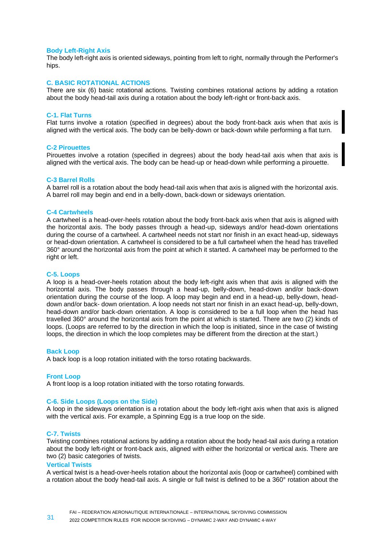#### **Body Left-Right Axis**

The body left-right axis is oriented sideways, pointing from left to right, normally through the Performer's hips.

# **C. BASIC ROTATIONAL ACTIONS**

There are six (6) basic rotational actions. Twisting combines rotational actions by adding a rotation about the body head-tail axis during a rotation about the body left-right or front-back axis.

#### **C-1. Flat Turns**

Flat turns involve a rotation (specified in degrees) about the body front-back axis when that axis is aligned with the vertical axis. The body can be belly-down or back-down while performing a flat turn.

#### **C-2 Pirouettes**

Pirouettes involve a rotation (specified in degrees) about the body head-tail axis when that axis is aligned with the vertical axis. The body can be head-up or head-down while performing a pirouette.

### **C-3 Barrel Rolls**

A barrel roll is a rotation about the body head-tail axis when that axis is aligned with the horizontal axis. A barrel roll may begin and end in a belly-down, back-down or sideways orientation.

#### **C-4 Cartwheels**

A cartwheel is a head-over-heels rotation about the body front-back axis when that axis is aligned with the horizontal axis. The body passes through a head-up, sideways and/or head-down orientations during the course of a cartwheel. A cartwheel needs not start nor finish in an exact head-up, sideways or head-down orientation. A cartwheel is considered to be a full cartwheel when the head has travelled 360° around the horizontal axis from the point at which it started. A cartwheel may be performed to the right or left.

#### **C-5. Loops**

A loop is a head-over-heels rotation about the body left-right axis when that axis is aligned with the horizontal axis. The body passes through a head-up, belly-down, head-down and/or back-down orientation during the course of the loop. A loop may begin and end in a head-up, belly-down, headdown and/or back- down orientation. A loop needs not start nor finish in an exact head-up, belly-down, head-down and/or back-down orientation. A loop is considered to be a full loop when the head has travelled 360° around the horizontal axis from the point at which is started. There are two (2) kinds of loops. (Loops are referred to by the direction in which the loop is initiated, since in the case of twisting loops, the direction in which the loop completes may be different from the direction at the start.)

#### **Back Loop**

A back loop is a loop rotation initiated with the torso rotating backwards.

# **Front Loop**

A front loop is a loop rotation initiated with the torso rotating forwards.

# **C-6. Side Loops (Loops on the Side)**

A loop in the sideways orientation is a rotation about the body left-right axis when that axis is aligned with the vertical axis. For example, a Spinning Egg is a true loop on the side.

#### **C-7. Twists**

Twisting combines rotational actions by adding a rotation about the body head-tail axis during a rotation about the body left-right or front-back axis, aligned with either the horizontal or vertical axis. There are two (2) basic categories of twists.

#### **Vertical Twists**

A vertical twist is a head-over-heels rotation about the horizontal axis (loop or cartwheel) combined with a rotation about the body head-tail axis. A single or full twist is defined to be a 360° rotation about the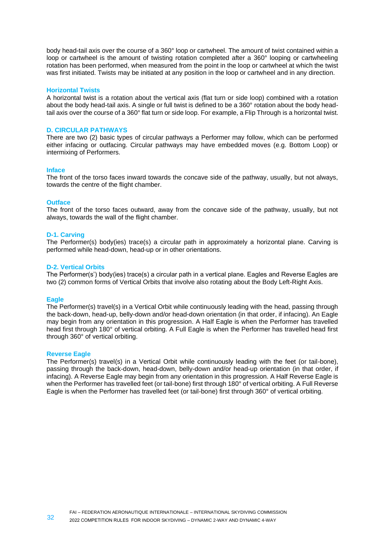body head-tail axis over the course of a 360° loop or cartwheel. The amount of twist contained within a loop or cartwheel is the amount of twisting rotation completed after a 360° looping or cartwheeling rotation has been performed, when measured from the point in the loop or cartwheel at which the twist was first initiated. Twists may be initiated at any position in the loop or cartwheel and in any direction.

#### **Horizontal Twists**

A horizontal twist is a rotation about the vertical axis (flat turn or side loop) combined with a rotation about the body head-tail axis. A single or full twist is defined to be a 360° rotation about the body headtail axis over the course of a 360° flat turn or side loop. For example, a Flip Through is a horizontal twist.

#### **D. CIRCULAR PATHWAYS**

There are two (2) basic types of circular pathways a Performer may follow, which can be performed either infacing or outfacing. Circular pathways may have embedded moves (e.g. Bottom Loop) or intermixing of Performers.

#### **Inface**

The front of the torso faces inward towards the concave side of the pathway, usually, but not always, towards the centre of the flight chamber.

#### **Outface**

The front of the torso faces outward, away from the concave side of the pathway, usually, but not always, towards the wall of the flight chamber.

#### **D-1. Carving**

The Performer(s) body(ies) trace(s) a circular path in approximately a horizontal plane. Carving is performed while head-down, head-up or in other orientations.

#### **D-2. Vertical Orbits**

The Performer(s') body(ies) trace(s) a circular path in a vertical plane. Eagles and Reverse Eagles are two (2) common forms of Vertical Orbits that involve also rotating about the Body Left-Right Axis.

#### **Eagle**

The Performer(s) travel(s) in a Vertical Orbit while continuously leading with the head, passing through the back-down, head-up, belly-down and/or head-down orientation (in that order, if infacing). An Eagle may begin from any orientation in this progression. A Half Eagle is when the Performer has travelled head first through 180° of vertical orbiting. A Full Eagle is when the Performer has travelled head first through 360° of vertical orbiting.

#### **Reverse Eagle**

The Performer(s) travel(s) in a Vertical Orbit while continuously leading with the feet (or tail-bone), passing through the back-down, head-down, belly-down and/or head-up orientation (in that order, if infacing). A Reverse Eagle may begin from any orientation in this progression. A Half Reverse Eagle is when the Performer has travelled feet (or tail-bone) first through 180° of vertical orbiting. A Full Reverse Eagle is when the Performer has travelled feet (or tail-bone) first through 360° of vertical orbiting.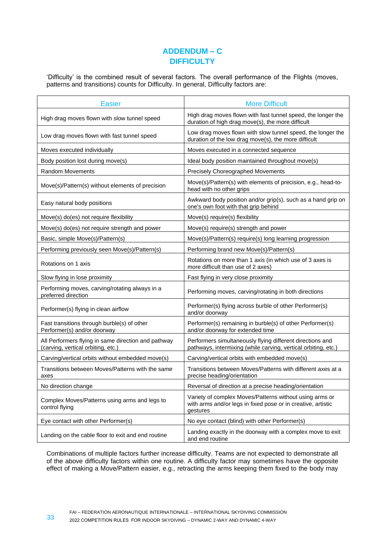# **ADDENDUM – C DIFFICULTY**

'Difficulty' is the combined result of several factors. The overall performance of the Flights (moves, patterns and transitions) counts for Difficulty. In general, Difficulty factors are:

| <b>Easier</b>                                                                             | <b>More Difficult</b>                                                                                                               |
|-------------------------------------------------------------------------------------------|-------------------------------------------------------------------------------------------------------------------------------------|
| High drag moves flown with slow tunnel speed                                              | High drag moves flown with fast tunnel speed, the longer the<br>duration of high drag move(s), the more difficult                   |
| Low drag moves flown with fast tunnel speed                                               | Low drag moves flown with slow tunnel speed, the longer the<br>duration of the low drag move(s), the more difficult                 |
| Moves executed individually                                                               | Moves executed in a connected sequence                                                                                              |
| Body position lost during move(s)                                                         | Ideal body position maintained throughout move(s)                                                                                   |
| <b>Random Movements</b>                                                                   | Precisely Choreographed Movements                                                                                                   |
| Move(s)/Pattern(s) without elements of precision                                          | Move(s)/Pattern(s) with elements of precision, e.g., head-to-<br>head with no other grips                                           |
| Easy natural body positions                                                               | Awkward body position and/or grip(s), such as a hand grip on<br>one's own foot with that grip behind                                |
| Move(s) do(es) not require flexibility                                                    | Move(s) require(s) flexibility                                                                                                      |
| Move(s) do(es) not require strength and power                                             | Move(s) require(s) strength and power                                                                                               |
| Basic, simple Move(s)/Pattern(s)                                                          | Move(s)/Pattern(s) require(s) long learning progression                                                                             |
| Performing previously seen Move(s)/Pattern(s)                                             | Performing brand new Move(s)/Pattern(s)                                                                                             |
| Rotations on 1 axis                                                                       | Rotations on more than 1 axis (in which use of 3 axes is<br>more difficult than use of 2 axes)                                      |
| Slow flying in lose proximity                                                             | Fast flying in very close proximity                                                                                                 |
| Performing moves, carving/rotating always in a<br>preferred direction                     | Performing moves, carving/rotating in both directions                                                                               |
| Performer(s) flying in clean airflow                                                      | Performer(s) flying across burble of other Performer(s)<br>and/or doorway                                                           |
| Fast transitions through burble(s) of other<br>Performer(s) and/or doorway                | Performer(s) remaining in burble(s) of other Performer(s)<br>and/or doorway for extended time                                       |
| All Performers flying in same direction and pathway<br>(carving, vertical orbiting, etc.) | Performers simultaneously flying different directions and<br>pathways, intermixing (while carving, vertical orbiting, etc.)         |
| Carving/vertical orbits without embedded move(s)                                          | Carving/vertical orbits with embedded move(s)                                                                                       |
| Transitions between Moves/Patterns with the same<br>axes                                  | Transitions between Moves/Patterns with different axes at a<br>precise heading/orientation                                          |
| No direction change                                                                       | Reversal of direction at a precise heading/orientation                                                                              |
| Complex Moves/Patterns using arms and legs to<br>control flying                           | Variety of complex Moves/Patterns without using arms or<br>with arms and/or legs in fixed pose or in creative, artistic<br>gestures |
| Eye contact with other Performer(s)                                                       | No eye contact (blind) with other Performer(s)                                                                                      |
| Landing on the cable floor to exit and end routine                                        | Landing exactly in the doorway with a complex move to exit<br>and end routine                                                       |

Combinations of multiple factors further increase difficulty. Teams are not expected to demonstrate all of the above difficulty factors within one routine. A difficulty factor may sometimes have the opposite effect of making a Move/Pattern easier, e.g., retracting the arms keeping them fixed to the body may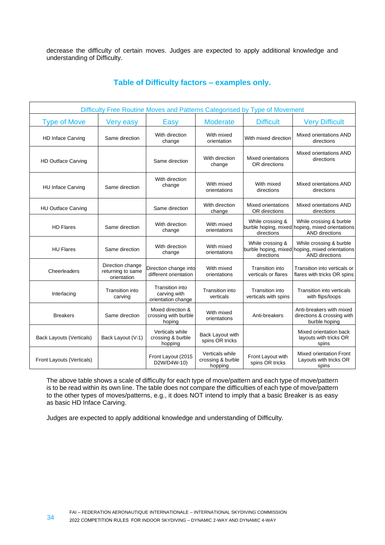decrease the difficulty of certain moves. Judges are expected to apply additional knowledge and understanding of Difficulty.

| Difficulty Free Routine Moves and Patterns Categorised by Type of Movement |                                                      |                                                              |                                                 |                                                |                                                                                                     |
|----------------------------------------------------------------------------|------------------------------------------------------|--------------------------------------------------------------|-------------------------------------------------|------------------------------------------------|-----------------------------------------------------------------------------------------------------|
| <b>Type of Move</b>                                                        | Very easy                                            | Easy                                                         | <b>Moderate</b>                                 | <b>Difficult</b>                               | <b>Very Difficult</b>                                                                               |
| <b>HD Inface Carving</b>                                                   | Same direction                                       | With direction<br>change                                     | With mixed<br>orientation                       | With mixed direction                           | Mixed orientations AND<br>directions                                                                |
| <b>HD Outface Carving</b>                                                  |                                                      | Same direction                                               | With direction<br>change                        | Mixed orientations<br>OR directions            | Mixed orientations AND<br>directions                                                                |
| <b>HU Inface Carving</b>                                                   | Same direction                                       | With direction<br>change                                     | With mixed<br>orientations                      | With mixed<br>directions                       | Mixed orientations AND<br>directions                                                                |
| <b>HU Outface Carving</b>                                                  |                                                      | Same direction                                               | With direction<br>change                        | Mixed orientations<br>OR directions            | Mixed orientations AND<br>directions                                                                |
| <b>HD Flares</b>                                                           | Same direction                                       | With direction<br>change                                     | With mixed<br>orientations                      | While crossing &<br>directions                 | While crossing & burble<br>burble hoping, mixed hoping, mixed orientations<br><b>AND directions</b> |
| <b>HU Flares</b>                                                           | Same direction                                       | With direction<br>change                                     | With mixed<br>orientations                      | While crossing &<br>directions                 | While crossing & burble<br>burble hoping, mixed hoping, mixed orientations<br><b>AND directions</b> |
| Cheerleaders                                                               | Direction change<br>returning to same<br>orientation | Direction change into<br>different orientation               | With mixed<br>orientations                      | Transition into<br>verticals or flares         | Transition into verticals or<br>flares with tricks OR spins                                         |
| Interlacing                                                                | <b>Transition into</b><br>carving                    | <b>Transition into</b><br>carving with<br>orientation change | <b>Transition into</b><br>verticals             | <b>Transition into</b><br>verticals with spins | Transition into verticals<br>with flips/loops                                                       |
| <b>Breakers</b>                                                            | Same direction                                       | Mixed direction &<br>crossing with burble<br>hoping          | With mixed<br>orientations                      | Anti-breakers                                  | Anti-breakers with mixed<br>directions & crossing with<br>burble hoping                             |
| <b>Back Layouts (Verticals)</b>                                            | Back Layout (V-1)                                    | Verticals while<br>crossing & burble<br>hopping              | Back Layout with<br>spins OR tricks             |                                                | Mixed orientation back<br>layouts with tricks OR<br>spins                                           |
| Front Layouts (Verticals)                                                  |                                                      | Front Layout (2015<br>D2W/D4W-10)                            | Verticals while<br>crossing & burble<br>hopping | Front Layout with<br>spins OR tricks           | Mixed orientation Front<br>Layouts with tricks OR<br>spins                                          |

The above table shows a scale of difficulty for each type of move/pattern and each type of move/pattern is to be read within its own line. The table does not compare the difficulties of each type of move/pattern to the other types of moves/patterns, e.g., it does NOT intend to imply that a basic Breaker is as easy as basic HD Inface Carving.

Judges are expected to apply additional knowledge and understanding of Difficulty.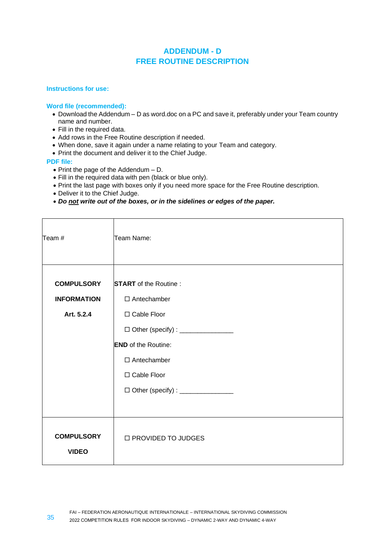# **ADDENDUM - D FREE ROUTINE DESCRIPTION**

# **Instructions for use:**

# **Word file (recommended):**

- Download the Addendum D as word.doc on a PC and save it, preferably under your Team country name and number.
- Fill in the required data.
- Add rows in the Free Routine description if needed.
- When done, save it again under a name relating to your Team and category.
- Print the document and deliver it to the Chief Judge.

# **PDF file:**

- Print the page of the Addendum D.
- Fill in the required data with pen (black or blue only).
- Print the last page with boxes only if you need more space for the Free Routine description.
- Deliver it to the Chief Judge.
- *Do not write out of the boxes, or in the sidelines or edges of the paper.*

| Team #                                                | Team Name:                                                                                                                                                                                                              |
|-------------------------------------------------------|-------------------------------------------------------------------------------------------------------------------------------------------------------------------------------------------------------------------------|
| <b>COMPULSORY</b><br><b>INFORMATION</b><br>Art. 5.2.4 | <b>START</b> of the Routine:<br>$\Box$ Antechamber<br>□ Cable Floor<br>□ Other (specify) : ________________<br><b>END</b> of the Routine:<br>$\Box$ Antechamber<br>□ Cable Floor<br>□ Other (specify) : _______________ |
| <b>COMPULSORY</b><br><b>VIDEO</b>                     | □ PROVIDED TO JUDGES                                                                                                                                                                                                    |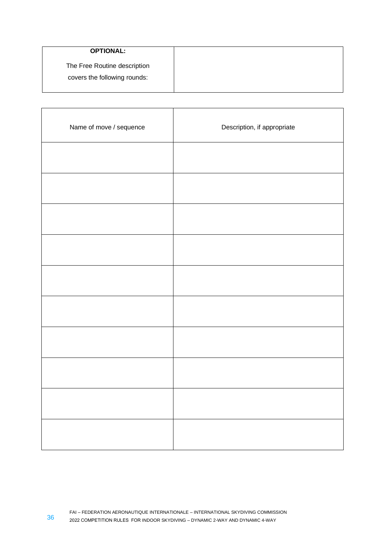| <b>OPTIONAL:</b>             |
|------------------------------|
| The Free Routine description |
| covers the following rounds: |
|                              |

| Name of move / sequence | Description, if appropriate |
|-------------------------|-----------------------------|
|                         |                             |
|                         |                             |
|                         |                             |
|                         |                             |
|                         |                             |
|                         |                             |
|                         |                             |
|                         |                             |
|                         |                             |
|                         |                             |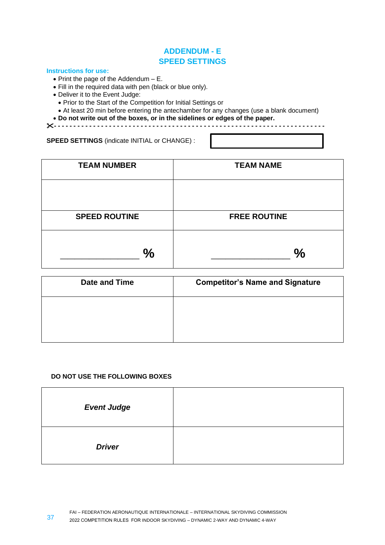# **ADDENDUM - E SPEED SETTINGS**

# **Instructions for use:**

- Print the page of the Addendum E.
- Fill in the required data with pen (black or blue only).
- Deliver it to the Event Judge:
	- Prior to the Start of the Competition for Initial Settings or
	- At least 20 min before entering the antechamber for any changes (use a blank document)
- **Do not write out of the boxes, or in the sidelines or edges of the paper.**

**- - - - - - - - - - - - - - - - - - - - - - - - - - - - - - - - - - - - - - - - - - - - - - - - - - - - - - - - - - - - - - - - - - - - -**

**SPEED SETTINGS** (indicate INITIAL or CHANGE) :

| <b>TEAM NUMBER</b>   | <b>TEAM NAME</b>    |
|----------------------|---------------------|
|                      |                     |
| <b>SPEED ROUTINE</b> | <b>FREE ROUTINE</b> |
| $\frac{0}{0}$        | $\frac{0}{0}$       |

| Date and Time | <b>Competitor's Name and Signature</b> |
|---------------|----------------------------------------|
|               |                                        |
|               |                                        |

# **DO NOT USE THE FOLLOWING BOXES**

| <b>Event Judge</b> |  |
|--------------------|--|
| <b>Driver</b>      |  |